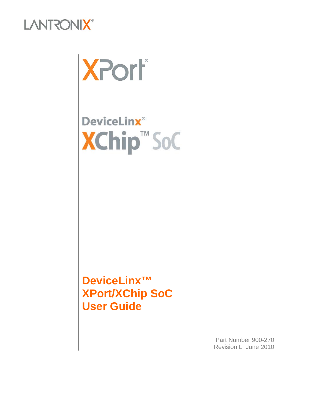



**DeviceLinx®** XChip<sup>™</sup>SoC

**DeviceLinx™ XPort/XChip SoC User Guide**

> Part Number 900-270 Revision L June 2010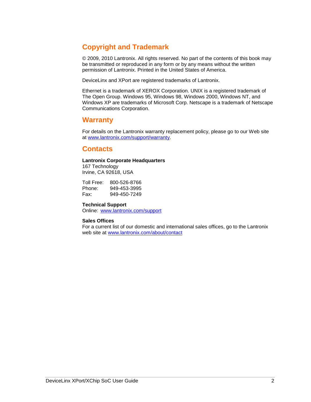## <span id="page-1-0"></span>**Copyright and Trademark**

© 2009, 2010 Lantronix. All rights reserved. No part of the contents of this book may be transmitted or reproduced in any form or by any means without the written permission of Lantronix. Printed in the United States of America.

DeviceLinx and XPort are registered trademarks of Lantronix.

Ethernet is a trademark of XEROX Corporation. UNIX is a registered trademark of The Open Group. Windows 95, Windows 98, Windows 2000, Windows NT, and Windows XP are trademarks of Microsoft Corp. Netscape is a trademark of Netscape Communications Corporation.

### <span id="page-1-1"></span>**Warranty**

For details on the Lantronix warranty replacement policy, please go to our Web site at [www.lantronix.com/support/warranty.](http://www.lantronix.com/support/warranty/index.html)

### <span id="page-1-2"></span>**Contacts**

#### **Lantronix Corporate Headquarters**

167 Technology Irvine, CA 92618, USA

Toll Free: 800-526-8766 Phone: 949-453-3995 Fax: 949-450-7249

#### **Technical Support**

Online: [www.lantronix.com/support](http://www.lantronix.com/support)

#### **Sales Offices**

For a current list of our domestic and international sales offices, go to the Lantronix web site at [www.lantronix.com/about/contact](http://www.lantronix.com/about/contact)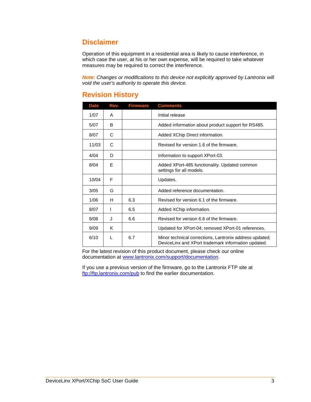## <span id="page-2-0"></span>**Disclaimer**

Operation of this equipment in a residential area is likely to cause interference, in which case the user, at his or her own expense, will be required to take whatever measures may be required to correct the interference.

*Note: Changes or modifications to this device not explicitly approved by Lantronix will void the user's authority to operate this device.*

## <span id="page-2-1"></span>**Revision History**

| <b>Date</b> | Rev. | <b>Firmware</b> | <b>Comments</b>                                                                                                |
|-------------|------|-----------------|----------------------------------------------------------------------------------------------------------------|
| 1/07        | A    |                 | Initial release                                                                                                |
| 5/07        | B    |                 | Added information about product support for RS485.                                                             |
| 8/07        | C    |                 | Added XChip Direct information.                                                                                |
| 11/03       | C    |                 | Revised for version 1.6 of the firmware.                                                                       |
| 4/04        | D    |                 | Information to support XPort-03.                                                                               |
| 8/04        | E    |                 | Added XPort-485 functionality. Updated common<br>settings for all models.                                      |
| 10/04       | F    |                 | Updates.                                                                                                       |
| 3/05        | G    |                 | Added reference documentation.                                                                                 |
| 1/06        | н    | 6.3             | Revised for version 6.1 of the firmware.                                                                       |
| 8/07        | I    | 6.5             | Added XChip information.                                                                                       |
| 8/08        | J    | 6.6             | Revised for version 6.6 of the firmware.                                                                       |
| 9/09        | Κ    |                 | Updated for XPort-04; removed XPort-01 references.                                                             |
| 6/10        | L    | 6.7             | Minor technical corrections, Lantronix address updated;<br>DeviceLinx and XPort trademark information updated. |

For the latest revision of this product document, please check our online documentation at [www.lantronix.com/support/documentation.](http://www.lantronix.com/support/documentation.html)

If you use a previous version of the firmware, go to the Lantronix FTP site at <ftp://ftp.lantronix.com/pub> to find the earlier documentation.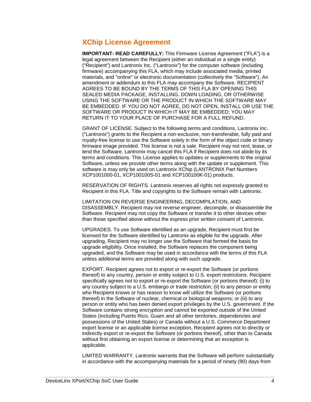## <span id="page-3-0"></span>**XChip License Agreement**

**IMPORTANT- READ CAREFULLY:** This Firmware License Agreement ("FLA") is a legal agreement between the Recipient (either an individual or a single entity) ("Recipient") and Lantronix Inc. ("Lantronix") for the computer software (including firmware) accompanying this FLA, which may include associated media, printed materials, and "online" or electronic documentation (collectively the "Software"). An amendment or addendum to this FLA may accompany the Software. RECIPIENT AGREES TO BE BOUND BY THE TERMS OF THIS FLA BY OPENING THIS SEALED MEDIA PACKAGE, INSTALLING, DOWN LOADING, OR OTHERWISE USING THE SOFTWARE OR THE PRODUCT IN WHICH THE SOFTWARE MAY BE EMBEDDED. IF YOU DO NOT AGREE, DO NOT OPEN, INSTALL OR USE THE SOFTWARE OR PRODUCT IN WHICH IT MAY BE EMBEDDED; YOU MAY RETURN IT TO YOUR PLACE OF PURCHASE FOR A FULL REFUND.

GRANT OF LICENSE. Subject to the following terms and conditions, Lantronix Inc. ("Lantronix") grants to the Recipient a non-exclusive, non-transferable, fully paid and royalty-free license to use the Software solely in the form of the object code or binary firmware image provided. This license is not a sale. Recipient may not rent, lease, or lend the Software. Lantronix may cancel this FLA if Recipient does not abide by its terms and conditions. This License applies to updates or supplements to the original Software, unless we provide other terms along with the update or supplement. This software is may only be used on Lantronix XChip (LANTRONIX Part Numbers XCP1001000-01, XCP100100S-01 and XCP100100K-01) products.

RESERVATION OF RIGHTS. Lantronix reserves all rights not expressly granted to Recipient in this FLA. Title and copyrights to the Software remain with Lantronix.

LIMITATION ON REVERSE ENGINEERING, DECOMPILATION, AND DISASSEMBLY. Recipient may not reverse engineer, decompile, or disassemble the Software. Recipient may not copy the Software or transfer it to other devices other than those specified above without the express prior written consent of Lantronix.

UPGRADES. To use Software identified as an upgrade, Recipient must first be licensed for the Software identified by Lantronix as eligible for the upgrade. After upgrading, Recipient may no longer use the Software that formed the basis for upgrade eligibility. Once installed, the Software replaces the component being upgraded, and the Software may be used in accordance with the terms of this FLA unless additional terms are provided along with such upgrade.

EXPORT. Recipient agrees not to export or re-export the Software (or portions thereof) to any country, person or entity subject to U.S. export restrictions. Recipient specifically agrees not to export or re-export the Software (or portions thereof): (i) to any country subject to a U.S. embargo or trade restriction; (ii) to any person or entity who Recipient knows or has reason to know will utilize the Software (or portions thereof) in the Software of nuclear, chemical or biological weapons; or (iii) to any person or entity who has been denied export privileges by the U.S. government. If the Software contains strong encryption and cannot be exported outside of the United States (including Puerto Rico, Guam and all other territories, dependencies and possessions of the United States) or Canada without a U.S. Commerce Department export license or an applicable license exception, Recipient agrees not to directly or indirectly export or re-export the Software (or portions thereof), other than to Canada without first obtaining an export license or determining that an exception is applicable.

LIMITED WARRANTY. Lantronix warrants that the Software will perform substantially in accordance with the accompanying materials for a period of ninety (90) days from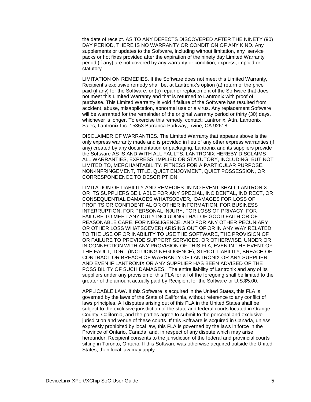the date of receipt. AS TO ANY DEFECTS DISCOVERED AFTER THE NINETY (90) DAY PERIOD, THERE IS NO WARRANTY OR CONDITION OF ANY KIND. Any supplements or updates to the Software, including without limitation, any service packs or hot fixes provided after the expiration of the ninety day Limited Warranty period (if any) are not covered by any warranty or condition, express, implied or statutory.

LIMITATION ON REMEDIES. If the Software does not meet this Limited Warranty, Recipient's exclusive remedy shall be, at Lantronix's option (a) return of the price paid (if any) for the Software, or (b) repair or replacement of the Software that does not meet this Limited Warranty and that is returned to Lantronix with proof of purchase. This Limited Warranty is void if failure of the Software has resulted from accident, abuse, misapplication, abnormal use or a virus. Any replacement Software will be warranted for the remainder of the original warranty period or thirty (30) days, whichever is longer. To exercise this remedy, contact: Lantronix, Attn. Lantronix Sales, Lantronix Inc. 15353 Barranca Parkway, Irvine, CA 92618.

DISCLAIMER OF WARRANTIES. The Limited Warranty that appears above is the only express warranty made and is provided in lieu of any other express warranties (if any) created by any documentation or packaging. Lantronix and its suppliers provide the Software AS IS AND WITH ALL FAULTS. LANTRONIX HEREBY DISCLAIMS ALL WARRANTIES, EXPRESS, IMPLIED OR STATUTORY, INCLUDING, BUT NOT LIMITED TO, MERCHANTABILITY, FITNESS FOR A PARTICULAR PURPOSE, NON-INFRINGEMENT, TITLE, QUIET ENJOYMENT, QUIET POSSESSION, OR CORRESPONDENCE TO DESCRIPTION

LIMITATION OF LIABILITY AND REMEDIES. IN NO EVENT SHALL LANTRONIX OR ITS SUPPLIERS BE LIABLE FOR ANY SPECIAL, INCIDENTAL, INDIRECT, OR CONSEQUENTIAL DAMAGES WHATSOEVER, DAMAGES FOR LOSS OF PROFITS OR CONFIDENTIAL OR OTHER INFORMATION, FOR BUSINESS INTERRUPTION, FOR PERSONAL INJURY, FOR LOSS OF PRIVACY, FOR FAILURE TO MEET ANY DUTY INCLUDING THAT OF GOOD FAITH OR OF REASONABLE CARE, FOR NEGLIGENCE, AND FOR ANY OTHER PECUNIARY OR OTHER LOSS WHATSOEVER) ARISING OUT OF OR IN ANY WAY RELATED TO THE USE OF OR INABILITY TO USE THE SOFTWARE, THE PROVISION OF OR FAILURE TO PROVIDE SUPPORT SERVICES, OR OTHERWISE, UNDER OR IN CONNECTION WITH ANY PROVISION OF THIS FLA, EVEN IN THE EVENT OF THE FAULT, TORT (INCLUDING NEGLIGENCE), STRICT LIABILITY, BREACH OF CONTRACT OR BREACH OF WARRANTY OF LANTRONIX OR ANY SUPPLIER, AND EVEN IF LANTRONIX OR ANY SUPPLIER HAS BEEN ADVISED OF THE POSSIBILITY OF SUCH DAMAGES. The entire liability of Lantronix and any of its suppliers under any provision of this FLA for all of the foregoing shall be limited to the greater of the amount actually paid by Recipient for the Software or U.S.\$5.00.

APPLICABLE LAW. If this Software is acquired in the United States, this FLA is governed by the laws of the State of California, without reference to any conflict of laws principles. All disputes arising out of this FLA in the United States shall be subject to the exclusive jurisdiction of the state and federal courts located in Orange County, California, and the parties agree to submit to the personal and exclusive jurisdiction and venue of these courts. If this Software is acquired in Canada, unless expressly prohibited by local law, this FLA is governed by the laws in force in the Province of Ontario, Canada; and, in respect of any dispute which may arise hereunder, Recipient consents to the jurisdiction of the federal and provincial courts sitting in Toronto, Ontario. If this Software was otherwise acquired outside the United States, then local law may apply.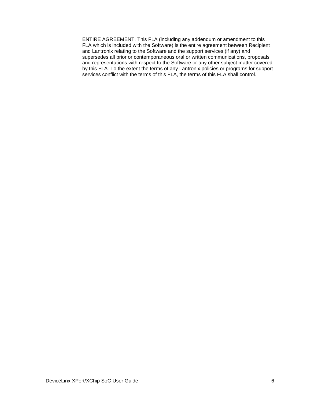ENTIRE AGREEMENT. This FLA (including any addendum or amendment to this FLA which is included with the Software) is the entire agreement between Recipient and Lantronix relating to the Software and the support services (if any) and supersedes all prior or contemporaneous oral or written communications, proposals and representations with respect to the Software or any other subject matter covered by this FLA. To the extent the terms of any Lantronix policies or programs for support services conflict with the terms of this FLA, the terms of this FLA shall control.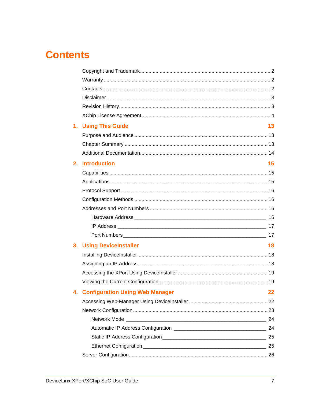# **Contents**

|    | 1. Using This Guide                    | 13 |
|----|----------------------------------------|----|
|    |                                        |    |
|    |                                        |    |
|    |                                        |    |
| 2. | <b>Introduction</b>                    | 15 |
|    |                                        |    |
|    |                                        |    |
|    |                                        |    |
|    |                                        |    |
|    |                                        |    |
|    |                                        |    |
|    |                                        |    |
|    |                                        |    |
|    | 3. Using DeviceInstaller               | 18 |
|    |                                        |    |
|    |                                        |    |
|    |                                        |    |
|    |                                        |    |
| 4. | <b>Configuration Using Web Manager</b> | 22 |
|    |                                        |    |
|    |                                        |    |
|    |                                        |    |
|    |                                        |    |
|    |                                        |    |
|    |                                        |    |
|    |                                        |    |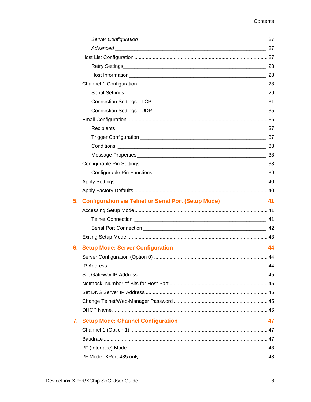|    | Advanced 27                                                 |    |
|----|-------------------------------------------------------------|----|
|    |                                                             |    |
|    |                                                             |    |
|    |                                                             |    |
|    |                                                             |    |
|    |                                                             |    |
|    |                                                             |    |
|    |                                                             |    |
|    |                                                             |    |
|    |                                                             |    |
|    |                                                             |    |
|    |                                                             |    |
|    |                                                             |    |
|    |                                                             |    |
|    |                                                             |    |
|    |                                                             |    |
|    |                                                             |    |
| 5. | <b>Configuration via Telnet or Serial Port (Setup Mode)</b> | 41 |
|    |                                                             |    |
|    |                                                             |    |
|    | Serial Port Connection 42                                   |    |
|    |                                                             |    |
|    | 6. Setup Mode: Server Configuration                         | 44 |
|    |                                                             |    |
|    |                                                             |    |
|    |                                                             |    |
|    |                                                             |    |
|    |                                                             |    |
|    |                                                             |    |
|    |                                                             |    |
| 7. | <b>Setup Mode: Channel Configuration</b>                    | 47 |
|    |                                                             |    |
|    |                                                             |    |
|    |                                                             |    |
|    |                                                             |    |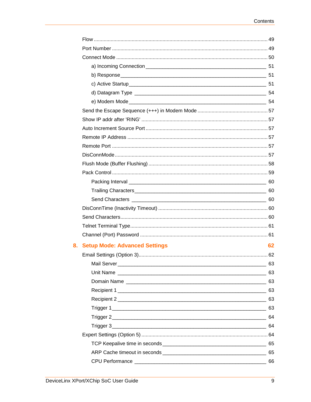| 8. | <b>Setup Mode: Advanced Settings</b> | 62 |
|----|--------------------------------------|----|
|    |                                      |    |
|    | Mail Server_                         | 63 |
|    |                                      | 63 |
|    |                                      |    |
|    |                                      |    |
|    | Recipient 2 63                       |    |
|    |                                      |    |
|    |                                      |    |
|    |                                      |    |
|    |                                      |    |
|    |                                      |    |
|    |                                      |    |
|    |                                      |    |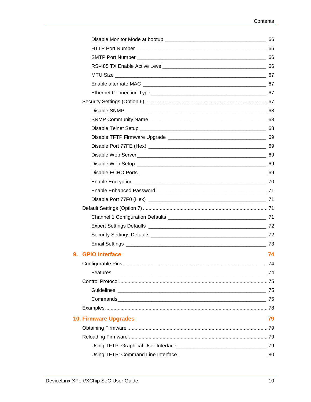| 9. GPIO Interface            | 74 |
|------------------------------|----|
|                              |    |
|                              | 74 |
|                              |    |
|                              |    |
|                              |    |
|                              |    |
| <b>10. Firmware Upgrades</b> | 79 |
|                              |    |
|                              |    |
|                              |    |
|                              |    |
|                              |    |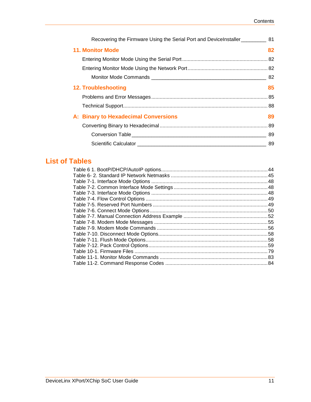| Recovering the Firmware Using the Serial Port and DeviceInstaller ______________ 81 |    |
|-------------------------------------------------------------------------------------|----|
| <b>11. Monitor Mode</b>                                                             | 82 |
|                                                                                     |    |
|                                                                                     |    |
|                                                                                     | 82 |
| <b>12. Troubleshooting</b>                                                          | 85 |
|                                                                                     |    |
|                                                                                     |    |
| A: Binary to Hexadecimal Conversions                                                | 89 |
|                                                                                     |    |
|                                                                                     | 89 |
|                                                                                     | 89 |

## **List of Tables**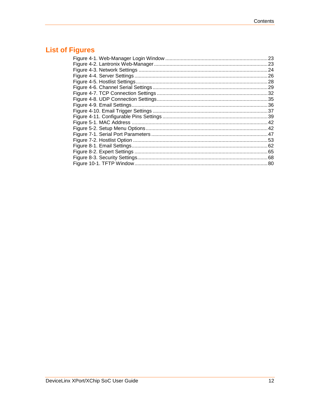# **List of Figures**

| 23  |
|-----|
|     |
|     |
|     |
|     |
|     |
|     |
|     |
|     |
|     |
|     |
|     |
|     |
|     |
|     |
|     |
|     |
|     |
| .80 |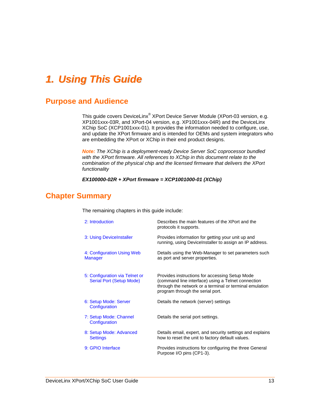# <span id="page-12-0"></span>*1. Using This Guide*

## <span id="page-12-1"></span>**Purpose and Audience**

This guide covers DeviceLinx® XPort Device Server Module (XPort-03 version, e.g. XP1001xxx-03R, and XPort-04 version, e.g. XP1001xxx-04R) and the DeviceLinx XChip SoC (XCP1001xxx-01). It provides the information needed to configure, use, and update the XPort firmware and is intended for OEMs and system integrators who are embedding the XPort or XChip in their end product designs.

*Note: The XChip is a deployment-ready Device Server SoC coprocessor bundled with the XPort firmware. All references to XChip in this document relate to the combination of the physical chip and the licensed firmware that delivers the XPort functionality*

#### *EX100000-02R + XPort firmware = XCP1001000-01 (XChip)*

## <span id="page-12-2"></span>**Chapter Summary**

The remaining chapters in this guide include:

| 2: Introduction                                            | Describes the main features of the XPort and the<br>protocols it supports.                                                                                                                          |
|------------------------------------------------------------|-----------------------------------------------------------------------------------------------------------------------------------------------------------------------------------------------------|
| 3: Using DeviceInstaller                                   | Provides information for getting your unit up and<br>running, using DeviceInstaller to assign an IP address.                                                                                        |
| 4: Configuration Using Web<br><b>Manager</b>               | Details using the Web-Manager to set parameters such<br>as port and server properties.                                                                                                              |
| 5: Configuration via Telnet or<br>Serial Port (Setup Mode) | Provides instructions for accessing Setup Mode<br>(command line interface) using a Telnet connection<br>through the network or a terminal or terminal emulation<br>program through the serial port. |
| 6: Setup Mode: Server<br>Configuration                     | Details the network (server) settings                                                                                                                                                               |
| 7: Setup Mode: Channel<br>Configuration                    | Details the serial port settings.                                                                                                                                                                   |
| 8: Setup Mode: Advanced<br><b>Settings</b>                 | Details email, expert, and security settings and explains<br>how to reset the unit to factory default values.                                                                                       |
| 9: GPIO Interface                                          | Provides instructions for configuring the three General<br>Purpose I/O pins (CP1-3).                                                                                                                |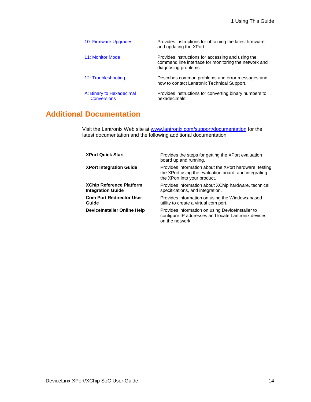| 10: Firmware Upgrades                          | Provides instructions for obtaining the latest firmware<br>and updating the XPort.                                                 |
|------------------------------------------------|------------------------------------------------------------------------------------------------------------------------------------|
| <b>11: Monitor Mode</b>                        | Provides instructions for accessing and using the<br>command line interface for monitoring the network and<br>diagnosing problems. |
| 12: Troubleshooting                            | Describes common problems and error messages and<br>how to contact Lantronix Technical Support.                                    |
| A: Binary to Hexadecimal<br><b>Conversions</b> | Provides instructions for converting binary numbers to<br>hexadecimals.                                                            |

## <span id="page-13-0"></span>**Additional Documentation**

Visit the Lantronix Web site at [www.lantronix.com/support/documentation](http://www.lantronix.com/support/documentation.html)</u> for the latest documentation and the following additional documentation.

| <b>XPort Quick Start</b>                                    | Provides the steps for getting the XPort evaluation<br>board up and running.                                                                    |
|-------------------------------------------------------------|-------------------------------------------------------------------------------------------------------------------------------------------------|
| <b>XPort Integration Guide</b>                              | Provides information about the XPort hardware, testing<br>the XPort using the evaluation board, and integrating<br>the XPort into your product. |
| <b>XChip Reference Platform</b><br><b>Integration Guide</b> | Provides information about XChip hardware, technical<br>specifications, and integration.                                                        |
| <b>Com Port Redirector User</b><br>Guide                    | Provides information on using the Windows-based<br>utility to create a virtual com port.                                                        |
| DeviceInstaller Online Help                                 | Provides information on using Device Installer to<br>configure IP addresses and locate Lantronix devices<br>on the network.                     |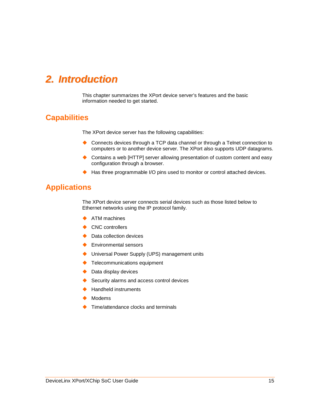# <span id="page-14-0"></span>*2. Introduction*

This chapter summarizes the XPort device server's features and the basic information needed to get started.

## <span id="page-14-1"></span>**Capabilities**

The XPort device server has the following capabilities:

- Connects devices through a TCP data channel or through a Telnet connection to computers or to another device server. The XPort also supports UDP datagrams.
- ◆ Contains a web [HTTP] server allowing presentation of custom content and easy configuration through a browser.
- ◆ Has three programmable I/O pins used to monitor or control attached devices.

## <span id="page-14-2"></span>**Applications**

The XPort device server connects serial devices such as those listed below to Ethernet networks using the IP protocol family.

- ◆ ATM machines
- ◆ CNC controllers
- **← Data collection devices**
- **← Environmental sensors**
- ◆ Universal Power Supply (UPS) management units
- ◆ Telecommunications equipment
- ◆ Data display devices
- Security alarms and access control devices
- Handheld instruments
- Modems
- Time/attendance clocks and terminals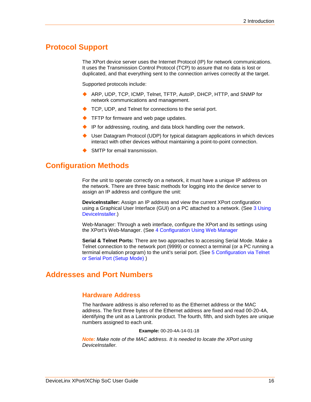## <span id="page-15-0"></span>**Protocol Support**

The XPort device server uses the Internet Protocol (IP) for network communications. It uses the Transmission Control Protocol (TCP) to assure that no data is lost or duplicated, and that everything sent to the connection arrives correctly at the target.

Supported protocols include:

- ◆ ARP, UDP, TCP, ICMP, Telnet, TFTP, AutoIP, DHCP, HTTP, and SNMP for network communications and management.
- ◆ TCP, UDP, and Telnet for connections to the serial port.
- ◆ TFTP for firmware and web page updates.
- ◆ IP for addressing, routing, and data block handling over the network.
- ◆ User Datagram Protocol (UDP) for typical datagram applications in which devices interact with other devices without maintaining a point-to-point connection.
- SMTP for email transmission.

## <span id="page-15-1"></span>**Configuration Methods**

For the unit to operate correctly on a network, it must have a unique IP address on the network. There are three basic methods for logging into the device server to assign an IP address and configure the unit:

**DeviceInstaller:** Assign an IP address and view the current XPort configuration using a Graphical User Interface (GUI) on a PC attached to a network. (See [3](#page-17-0) [Using](#page-17-0)  [DeviceInstaller.](#page-17-0))

Web-Manager: Through a web interface, configure the XPort and its settings using the XPort's Web-Manager. (See [4](#page-21-0) [Configuration Using Web Manager](#page-21-0)

**Serial & Telnet Ports:** There are two approaches to accessing Serial Mode. Make a Telnet connection to the network port (9999) or connect a terminal (or a PC running a terminal emulation program) to the unit's serial port. (See [5](#page-40-0) [Configuration](#page-40-0) via Telnet or Serial Port [\(Setup Mode\)](#page-40-0) )

## <span id="page-15-3"></span><span id="page-15-2"></span>**Addresses and Port Numbers**

#### **Hardware Address**

The hardware address is also referred to as the Ethernet address or the MAC address. The first three bytes of the Ethernet address are fixed and read 00-20-4A, identifying the unit as a Lantronix product. The fourth, fifth, and sixth bytes are unique numbers assigned to each unit.

**Example:** 00-20-4A-14-01-18

*Note: Make note of the MAC address. It is needed to locate the XPort using DeviceInstaller.*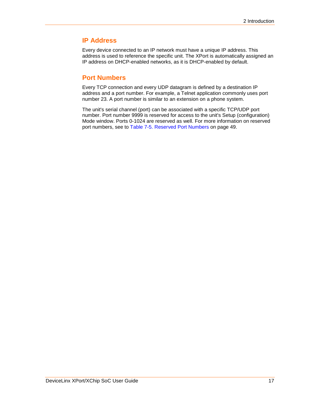### <span id="page-16-0"></span>**IP Address**

Every device connected to an IP network must have a unique IP address. This address is used to reference the specific unit. The XPort is automatically assigned an IP address on DHCP-enabled networks, as it is DHCP-enabled by default.

### <span id="page-16-1"></span>**Port Numbers**

Every TCP connection and every UDP datagram is defined by a destination IP address and a port number. For example, a Telnet application commonly uses port number 23. A port number is similar to an extension on a phone system.

The unit's serial channel (port) can be associated with a specific TCP/UDP port number. Port number 9999 is reserved for access to the unit's Setup (configuration) Mode window. Ports 0-1024 are reserved as well. For more information on reserved port numbers, see to [Table 7-5. Reserved Port Numbers](#page-48-3) on page [49.](#page-48-3)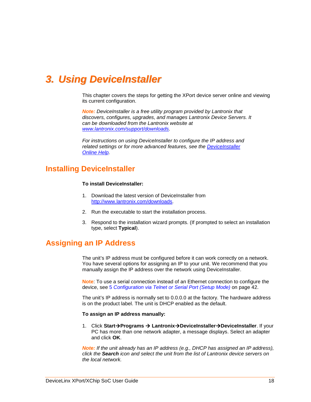# <span id="page-17-0"></span>*3. Using DeviceInstaller*

This chapter covers the steps for getting the XPort device server online and viewing its current configuration.

*Note: DeviceInstaller is a free utility program provided by Lantronix that discovers, configures, upgrades, and manages Lantronix Device Servers. It can be downloaded from the Lantronix website at [www.lantronix.com/support/downloads.](http://www.lantronix.com/support/downloads)* 

*For instructions on using DeviceInstaller to configure the IP address and related settings or for more advanced features, see the [DeviceInstaller](http://www.lantronix.com/support/webhelp/device-installer/DeviceInstaller.htm)  [Online Help.](http://www.lantronix.com/support/webhelp/device-installer/DeviceInstaller.htm)*

## <span id="page-17-1"></span>**Installing DeviceInstaller**

#### **To install DeviceInstaller:**

- 1. Download the latest version of DeviceInstaller from [http://www.lantronix.com/downloads.](http://www.lantronix.com/downloads)
- 2. Run the executable to start the installation process.
- 3. Respond to the installation wizard prompts. (If prompted to select an installation type, select **Typical**).

### <span id="page-17-2"></span>**Assigning an IP Address**

The unit's IP address must be configured before it can work correctly on a network. You have several options for assigning an IP to your unit. We recommend that you manually assign the IP address over the network using DeviceInstaller.

**Note**: To use a serial connection instead of an Ethernet connection to configure the device, see [5](#page-40-0) *Configuration via [Telnet or Serial Port](#page-40-0) (Setup Mode)* on page [42.](#page-41-0)

The unit's IP address is normally set to 0.0.0.0 at the factory. The hardware address is on the product label. The unit is DHCP enabled as the default.

#### **To assign an IP address manually:**

1. Click **StartPrograms LantronixDeviceInstallerDeviceInstaller**. If your PC has more than one network adapter, a message displays. Select an adapter and click **OK**.

*Note: If the unit already has an IP address (e.g., DHCP has assigned an IP address), click the Search icon and select the unit from the list of Lantronix device servers on the local network.*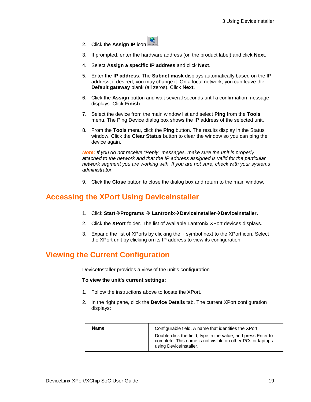- 2. Click the **Assign IP** icon
- 3. If prompted, enter the hardware address (on the product label) and click **Next**.
- 4. Select **Assign a specific IP address** and click **Next**.
- 5. Enter the **IP address**. The **Subnet mask** displays automatically based on the IP address; if desired, you may change it. On a local network, you can leave the **Default gateway** blank (all zeros). Click **Next**.
- 6. Click the **Assign** button and wait several seconds until a confirmation message displays. Click **Finish**.
- 7. Select the device from the main window list and select **Ping** from the **Tools** menu. The Ping Device dialog box shows the IP address of the selected unit.
- 8. From the **Tools** menu, click the **Ping** button. The results display in the Status window. Click the **Clear Status** button to clear the window so you can ping the device again.

*Note: If you do not receive "Reply" messages, make sure the unit is properly attached to the network and that the IP address assigned is valid for the particular network segment you are working with. If you are not sure, check with your systems administrator.*

9. Click the **Close** button to close the dialog box and return to the main window.

### <span id="page-18-0"></span>**Accessing the XPort Using DeviceInstaller**

- 1. Click **StartPrograms LantronixDeviceInstallerDeviceInstaller.**
- 2. Click the **XPort** folder. The list of available Lantronix XPort devices displays.
- 3. Expand the list of XPorts by clicking the + symbol next to the XPort icon. Select the XPort unit by clicking on its IP address to view its configuration.

## <span id="page-18-1"></span>**Viewing the Current Configuration**

DeviceInstaller provides a view of the unit's configuration.

#### **To view the unit's current settings:**

- 1. Follow the instructions above to locate the XPort.
- 2. In the right pane, click the **Device Details** tab. The current XPort configuration displays:

| <b>Name</b> | Configurable field. A name that identifies the XPort.                                                                                                 |
|-------------|-------------------------------------------------------------------------------------------------------------------------------------------------------|
|             | Double-click the field, type in the value, and press Enter to<br>complete. This name is not visible on other PCs or laptops<br>using DeviceInstaller. |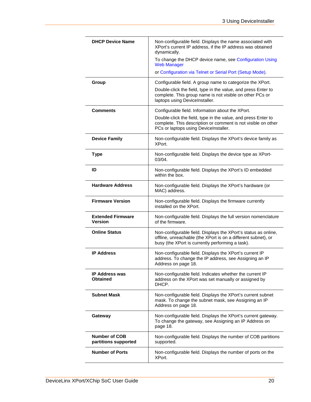| <b>DHCP Device Name</b>                      | Non-configurable field. Displays the name associated with<br>XPort's current IP address, if the IP address was obtained<br>dynamically.                                             |
|----------------------------------------------|-------------------------------------------------------------------------------------------------------------------------------------------------------------------------------------|
|                                              | To change the DHCP device name, see Configuration Using<br><b>Web Manager</b>                                                                                                       |
|                                              | or Configuration via Telnet or Serial Port (Setup Mode).                                                                                                                            |
| Group                                        | Configurable field. A group name to categorize the XPort.                                                                                                                           |
|                                              | Double-click the field, type in the value, and press Enter to<br>complete. This group name is not visible on other PCs or<br>laptops using DeviceInstaller.                         |
| <b>Comments</b>                              | Configurable field. Information about the XPort.                                                                                                                                    |
|                                              | Double-click the field, type in the value, and press Enter to<br>complete. This description or comment is not visible on other<br>PCs or laptops using DeviceInstaller.             |
| <b>Device Family</b>                         | Non-configurable field. Displays the XPort's device family as<br>XPort.                                                                                                             |
| <b>Type</b>                                  | Non-configurable field. Displays the device type as XPort-<br>03/04.                                                                                                                |
| ID                                           | Non-configurable field. Displays the XPort's ID embedded<br>within the box.                                                                                                         |
| <b>Hardware Address</b>                      | Non-configurable field. Displays the XPort's hardware (or<br>MAC) address.                                                                                                          |
| <b>Firmware Version</b>                      | Non-configurable field. Displays the firmware currently<br>installed on the XPort.                                                                                                  |
| <b>Extended Firmware</b><br>Version          | Non-configurable field. Displays the full version nomenclature<br>of the firmware.                                                                                                  |
| <b>Online Status</b>                         | Non-configurable field. Displays the XPort's status as online,<br>offline, unreachable (the XPort is on a different subnet), or<br>busy (the XPort is currently performing a task). |
| <b>IP Address</b>                            | Non-configurable field. Displays the XPort's current IP<br>address. To change the IP address, see Assigning an IP<br>Address on page 18.                                            |
| <b>IP Address was</b><br><b>Obtained</b>     | Non-configurable field. Indicates whether the current IP<br>address on the XPort was set manually or assigned by<br>DHCP.                                                           |
| <b>Subnet Mask</b>                           | Non-configurable field. Displays the XPort's current subnet<br>mask. To change the subnet mask, see Assigning an IP<br>Address on page 18.                                          |
| Gateway                                      | Non-configurable field. Displays the XPort's current gateway.<br>To change the gateway, see Assigning an IP Address on<br>page 18.                                                  |
| <b>Number of COB</b><br>partitions supported | Non-configurable field. Displays the number of COB partitions<br>supported.                                                                                                         |
| <b>Number of Ports</b>                       | Non-configurable field. Displays the number of ports on the<br>XPort.                                                                                                               |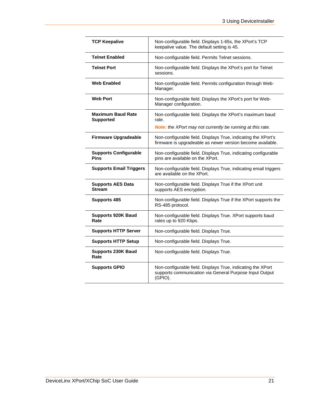| <b>TCP Keepalive</b>                         | Non-configurable field. Displays 1-65s, the XPort's TCP<br>keepalive value. The default setting is 45.                                  |
|----------------------------------------------|-----------------------------------------------------------------------------------------------------------------------------------------|
| <b>Teinet Enabled</b>                        | Non-configurable field. Permits Telnet sessions.                                                                                        |
| <b>Teinet Port</b>                           | Non-configurable field. Displays the XPort's port for Telnet<br>sessions.                                                               |
| <b>Web Enabled</b>                           | Non-configurable field. Permits configuration through Web-<br>Manager.                                                                  |
| <b>Web Port</b>                              | Non-configurable field. Displays the XPort's port for Web-<br>Manager configuration.                                                    |
| <b>Maximum Baud Rate</b><br><b>Supported</b> | Non-configurable field. Displays the XPort's maximum baud<br>rate.<br><b>Note:</b> the XPort may not currently be running at this rate. |
| <b>Firmware Upgradeable</b>                  | Non-configurable field. Displays True, indicating the XPort's<br>firmware is upgradeable as newer version become available.             |
| <b>Supports Configurable</b><br><b>Pins</b>  | Non-configurable field. Displays True, indicating configurable<br>pins are available on the XPort.                                      |
| <b>Supports Email Triggers</b>               | Non-configurable field. Displays True, indicating email triggers<br>are available on the XPort.                                         |
| <b>Supports AES Data</b><br><b>Stream</b>    | Non-configurable field. Displays True if the XPort unit<br>supports AES encryption.                                                     |
| <b>Supports 485</b>                          | Non-configurable field. Displays True if the XPort supports the<br>RS-485 protocol.                                                     |
| <b>Supports 920K Baud</b><br>Rate            | Non-configurable field. Displays True. XPort supports baud<br>rates up to 920 Kbps.                                                     |
| <b>Supports HTTP Server</b>                  | Non-configurable field. Displays True.                                                                                                  |
| <b>Supports HTTP Setup</b>                   | Non-configurable field. Displays True.                                                                                                  |
| <b>Supports 230K Baud</b><br>Rate            | Non-configurable field. Displays True.                                                                                                  |
| <b>Supports GPIO</b>                         | Non-configurable field. Displays True, indicating the XPort<br>supports communication via General Purpose Input Output<br>(GPIO).       |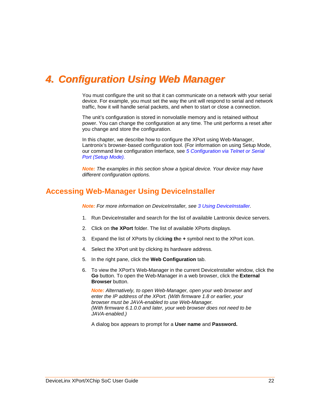# <span id="page-21-0"></span>*4. Configuration Using Web Manager*

You must configure the unit so that it can communicate on a network with your serial device. For example, you must set the way the unit will respond to serial and network traffic, how it will handle serial packets, and when to start or close a connection.

The unit's configuration is stored in nonvolatile memory and is retained without power. You can change the configuration at any time. The unit performs a reset after you change and store the configuration.

In this chapter, we describe how to configure the XPort using Web-Manager, Lantronix's browser-based configuration tool. (For information on using Setup Mode, our command line configuration interface, see *[5](#page-40-0) Configuration via [Telnet or Serial](#page-40-0)  Port [\(Setup Mode\).](#page-40-0)*

*Note: The examples in this section show a typical device. Your device may have different configuration options.*

## <span id="page-21-1"></span>**Accessing Web-Manager Using DeviceInstaller**

*Note: For more information on DeviceInstaller, see [3](#page-17-0) [Using DeviceInstaller.](#page-17-0)*

- 1. Run DeviceInstaller and search for the list of available Lantronix device servers.
- 2. Click on t**he XPort** folder. The list of available XPorts displays.
- 3. Expand the list of XPorts by clicki**ng th**e **+** symbol next to the XPort icon.
- 4. Select the XPort unit by clicking its hardware address.
- 5. In the right pane, click the **Web Configuration** tab.
- 6. To view the XPort's Web-Manager in the current DeviceInstaller window, click the **Go** button. To open the Web-Manager in a web browser, click the **External Browser** button.

*Note: Alternatively, to open Web-Manager, open your web browser and enter the IP address of the XPort. (With firmware 1.8 or earlier, your browser must be JAVA-enabled to use Web-Manager. (With firmware 6.1.0.0 and later, your web browser does not need to be JAVA-enabled.)*

A dialog box appears to prompt for a **User name** and **Password.**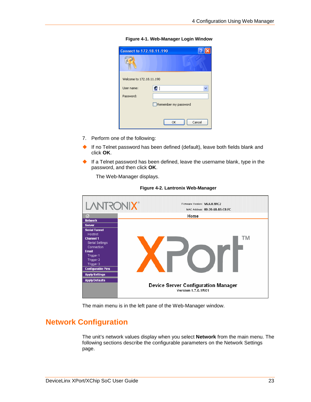**Figure 4-1. Web-Manager Login Window**

<span id="page-22-1"></span>

| <b>Connect to 172.18.11.190</b> |                      |
|---------------------------------|----------------------|
| Welcome to 172.18.11.190        |                      |
| User name:                      | 医                    |
| Password:                       |                      |
|                                 | Remember my password |
|                                 |                      |
|                                 | Cancel<br>ОК         |

- 7. Perform one of the following:
- ◆ If no Telnet password has been defined (default), leave both fields blank and click **OK**.
- If a Telnet password has been defined, leave the username blank, type in the password, and then click **OK**.

The Web-Manager displays.

<span id="page-22-2"></span>

**Figure 4-2. Lantronix Web-Manager**

The main menu is in the left pane of the Web-Manager window.

## <span id="page-22-0"></span>**Network Configuration**

The unit's network values display when you select **Network** from the main menu. The following sections describe the configurable parameters on the Network Settings page.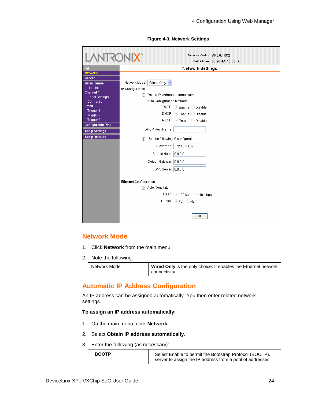<span id="page-23-2"></span>

| <b>VALASSINA</b>                    |                                       | Firmware Version: V6.6.0.1RC2                            |
|-------------------------------------|---------------------------------------|----------------------------------------------------------|
|                                     |                                       | MAC Address: 00-20-4A-A5-C8-FC                           |
| 샶                                   |                                       | Network Settings                                         |
| <b>Network</b>                      |                                       |                                                          |
| <b>Server</b>                       |                                       |                                                          |
| <b>Serial Tunnel</b>                | Network Mode: Wired Only              |                                                          |
| <b>Hostlist</b><br><b>Channel 1</b> | IP Configuration                      |                                                          |
| <b>Serial Settings</b>              | O Obtain IP address automatically     |                                                          |
| Connection                          | Auto Configuration Methods            |                                                          |
| Email                               |                                       | BOOTP: © Enable ◯ Disable                                |
| Trigger 1                           |                                       | $D HCP: \circledcirc$ Enable $\circlearrowright$ Disable |
| Trigger 2<br>Trigger 3              |                                       |                                                          |
| <b>Configurable Pins</b>            |                                       | AutolP: C Enable O Disable                               |
| <b>Apply Settings</b>               | DHCP Host Name:                       |                                                          |
| <b>Apply Defaults</b>               | ⊙ Use the following IP configuration: |                                                          |
|                                     |                                       | IP Address: 172.18.23.52                                 |
|                                     | Subnet Mask: 0.0.0.0                  |                                                          |
|                                     | Default Gateway: 0.0.0.0              |                                                          |
|                                     | DNS Server: 0.0.0.0                   |                                                          |
|                                     | <b>Ethernet Configuration</b>         |                                                          |
|                                     | Auto Negotiate                        |                                                          |
|                                     |                                       | Speed: ● 100 Mbps ● 10 Mbps                              |
|                                     |                                       | Duplex: Full Half                                        |
|                                     |                                       | OK                                                       |

#### **Figure 4-3. Network Settings**

### <span id="page-23-0"></span>**Network Mode**

- 1. Click **Network** from the main menu.
- 2. Note the following:

| Network Mode | <b>Wired Only</b> is the only choice. It enables the Ethernet network |
|--------------|-----------------------------------------------------------------------|
|              | connectivity.                                                         |

## <span id="page-23-1"></span>**Automatic IP Address Configuration**

An IP address can be assigned automatically. You then enter related network settings.

#### **To assign an IP address automatically:**

- 1. On the main menu, click **Network**.
- 2. Select **Obtain IP address automatically**.
- 3. Enter the following (as necessary):

| <b>BOOTP</b> | Select Enable to permit the Bootstrap Protocol (BOOTP).<br>server to assign the IP address from a pool of addresses |
|--------------|---------------------------------------------------------------------------------------------------------------------|
|              |                                                                                                                     |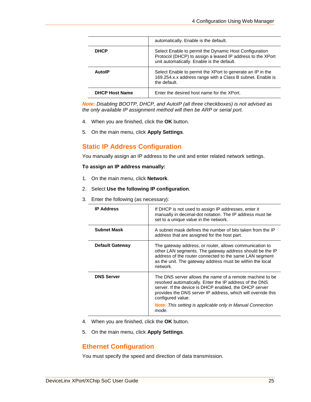|                       | automatically. Enable is the default.                                                                                                                              |
|-----------------------|--------------------------------------------------------------------------------------------------------------------------------------------------------------------|
| <b>DHCP</b>           | Select Enable to permit the Dynamic Host Configuration<br>Protocol (DHCP) to assign a leased IP address to the XPort<br>unit automatically. Enable is the default. |
| AutolP                | Select Enable to permit the XPort to generate an IP in the<br>169.254.x.x address range with a Class B subnet. Enable is<br>the default.                           |
| <b>DHCP Host Name</b> | Enter the desired host name for the XPort.                                                                                                                         |

*Note: Disabling BOOTP, DHCP, and AutoIP (all three checkboxes) is not advised as the only available IP assignment method will then be ARP or serial port.*

- 4. When you are finished, click the **OK** button.
- 5. On the main menu, click **Apply Settings**.

### <span id="page-24-0"></span>**Static IP Address Configuration**

You manually assign an IP address to the unit and enter related network settings.

#### **To assign an IP address manually:**

- 1. On the main menu, click **Network**.
- 2. Select **Use the following IP configuration**.
- 3. Enter the following (as necessary):

| <b>IP Address</b>      | If DHCP is not used to assign IP addresses, enter it<br>manually in decimal-dot notation. The IP address must be<br>set to a unique value in the network.                                                                                                                                                                                        |
|------------------------|--------------------------------------------------------------------------------------------------------------------------------------------------------------------------------------------------------------------------------------------------------------------------------------------------------------------------------------------------|
| <b>Subnet Mask</b>     | A subnet mask defines the number of bits taken from the IP<br>address that are assigned for the host part.                                                                                                                                                                                                                                       |
| <b>Default Gateway</b> | The gateway address, or router, allows communication to<br>other LAN segments. The gateway address should be the IP<br>address of the router connected to the same LAN segment<br>as the unit. The gateway address must be within the local<br>network.                                                                                          |
| <b>DNS Server</b>      | The DNS server allows the name of a remote machine to be<br>resolved automatically. Enter the IP address of the DNS<br>server. If the device is DHCP enabled, the DHCP server<br>provides the DNS server IP address, which will override this<br>configured value.<br><b>Note:</b> This setting is applicable only in Manual Connection<br>mode. |

- 4. When you are finished, click the **OK** button.
- 5. On the main menu, click **Apply Settings**.

### <span id="page-24-1"></span>**Ethernet Configuration**

You must specify the speed and direction of data transmission.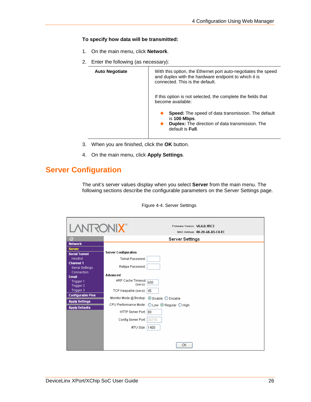#### **To specify how data will be transmitted:**

- 1. On the main menu, click **Network**.
- 2. Enter the following (as necessary):

| <b>Auto Negotiate</b> | With this option, the Ethernet port auto-negotiates the speed<br>and duplex with the hardware endpoint to which it is<br>connected. This is the default. |
|-----------------------|----------------------------------------------------------------------------------------------------------------------------------------------------------|
|                       | If this option is not selected, the complete the fields that<br>become available:                                                                        |
|                       | <b>Speed:</b> The speed of data transmission. The default<br>is 100 Mbps.<br><b>Duplex:</b> The direction of data transmission. The<br>default is Full.  |

- 3. When you are finished, click the **OK** button.
- 4. On the main menu, click **Apply Settings**.

## <span id="page-25-0"></span>**Server Configuration**

The unit's server values display when you select **Server** from the main menu. The following sections describe the configurable parameters on the Server Settings page.

<span id="page-25-1"></span>

| <b>LANTRONIX®</b>        | Firmware Version: V6.6.0.1RC2<br>MAC Address: 00-20-4A-A5-C8-FC |
|--------------------------|-----------------------------------------------------------------|
| 샶                        | Server Settings                                                 |
| <b>Network</b>           |                                                                 |
| <b>Server</b>            |                                                                 |
| <b>Serial Tunnel</b>     | Server Configuration                                            |
| <b>Hostlist</b>          | Telnet Password:                                                |
| <b>Channel 1</b>         |                                                                 |
| <b>Serial Settings</b>   | Retype Password:                                                |
| Connection               | Advanced                                                        |
| <b>Email</b>             |                                                                 |
| <b>Trigger 1</b>         | ARP Cache Timeout 600<br>(secs):                                |
| <b>Trigger 2</b>         |                                                                 |
| Trigger 3                | TCP Keepalive (secs): 45                                        |
| <b>Configurable Pins</b> | Monitor Mode @ Bootup: O Enable O Disable                       |
| <b>Apply Settings</b>    | CPU Performance Mode: O Low O Regular O High                    |
| <b>Apply Defaults</b>    |                                                                 |
|                          | HTTP Server Port: 80                                            |
|                          | Config Server Port: 30718                                       |
|                          | MTU Size: 1400                                                  |
|                          |                                                                 |
|                          | OK                                                              |

#### Figure 4-4. Server Settings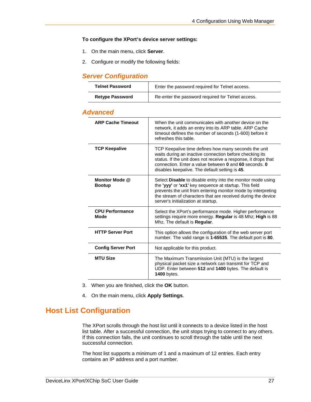#### **To configure the XPort's device server settings:**

- 1. On the main menu, click **Server**.
- <span id="page-26-0"></span>2. Configure or modify the following fields:

### *Server Configuration*

| <b>Telnet Password</b> | Enter the password required for Telnet access.    |
|------------------------|---------------------------------------------------|
| <b>Retype Password</b> | Re-enter the password required for Telnet access. |

### <span id="page-26-1"></span>*Advanced*

| <b>ARP Cache Timeout</b>        | When the unit communicates with another device on the<br>network, it adds an entry into its ARP table. ARP Cache<br>timeout defines the number of seconds (1-600) before it<br>refreshes this table.                                                                                         |
|---------------------------------|----------------------------------------------------------------------------------------------------------------------------------------------------------------------------------------------------------------------------------------------------------------------------------------------|
| <b>TCP Keepalive</b>            | TCP Keepalive time defines how many seconds the unit<br>waits during an inactive connection before checking its<br>status. If the unit does not receive a response, it drops that<br>connection. Enter a value between 0 and 60 seconds. 0<br>disables keepalive. The default setting is 45. |
| Monitor Mode @<br><b>Bootup</b> | Select Disable to disable entry into the monitor mode using<br>the 'yyy' or 'xx1' key sequence at startup. This field<br>prevents the unit from entering monitor mode by interpreting<br>the stream of characters that are received during the device<br>server's initialization at startup. |
| <b>CPU Performance</b><br>Mode  | Select the XPort's performance mode. Higher performance<br>settings require more energy. Regular is 48 Mhz; High is 88<br>Mhz. The default is Regular.                                                                                                                                       |
| <b>HTTP Server Port</b>         | This option allows the configuration of the web server port<br>number. The valid range is 1-65535. The default port is 80.                                                                                                                                                                   |
| <b>Config Server Port</b>       | Not applicable for this product.                                                                                                                                                                                                                                                             |
| <b>MTU Size</b>                 | The Maximum Transmission Unit (MTU) is the largest<br>physical packet size a network can transmit for TCP and<br>UDP. Enter between 512 and 1400 bytes. The default is<br><b>1400</b> bytes.                                                                                                 |

- 3. When you are finished, click the **OK** button.
- 4. On the main menu, click **Apply Settings**.

## <span id="page-26-2"></span>**Host List Configuration**

The XPort scrolls through the host list until it connects to a device listed in the host list table. After a successful connection, the unit stops trying to connect to any others. If this connection fails, the unit continues to scroll through the table until the next successful connection.

The host list supports a minimum of 1 and a maximum of 12 entries. Each entry contains an IP address and a port number.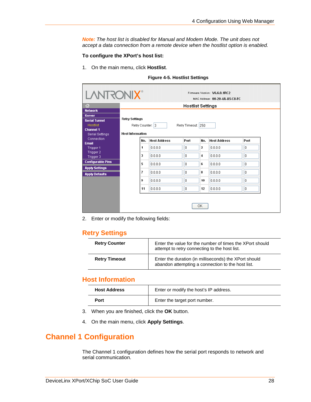*Note: The host list is disabled for Manual and Modem Mode. The unit does not accept a data connection from a remote device when the hostlist option is enabled.*

#### **To configure the XPort's host list:**

<span id="page-27-3"></span>1. On the main menu, click **Hostlist**.

| <b>LANTRONIX®</b>                                                                                                        |                                                                      |                     |                          |     | MAC Address: 00-20-4A-A5-C8-FC |      |
|--------------------------------------------------------------------------------------------------------------------------|----------------------------------------------------------------------|---------------------|--------------------------|-----|--------------------------------|------|
| 샶                                                                                                                        |                                                                      |                     | <b>Hostlist Settings</b> |     |                                |      |
| <b>Network</b><br><b>Server</b><br><b>Serial Tunnel</b><br><b>Hostlist</b><br><b>Channel 1</b><br><b>Serial Settings</b> | <b>Retry Settings</b><br>Retry Counter: 3<br><b>Host Information</b> |                     | Retry Timeout: 250       |     |                                |      |
| Connection<br><b>Email</b>                                                                                               | No.                                                                  | <b>Host Address</b> | Port                     | No. | <b>Host Address</b>            | Port |
| <b>Trigger 1</b>                                                                                                         | 1                                                                    | 0.0.0.0             | 10                       | 2   | 0.0.0.0                        | 0    |
| Trigger 2<br>Trigger 3                                                                                                   | 3                                                                    | 0.0.0.0             | $\overline{0}$           | 4   | 0.0.0.0                        | 0    |
| <b>Configurable Pins</b>                                                                                                 | 5                                                                    | 0.0.0.0             | I٥                       | 6   | 0.0.0.0                        | 0    |
| <b>Apply Settings</b>                                                                                                    | 7                                                                    | 0.0.0.0             | I٥                       | 8   | 0.0.0.0                        | 0    |
| <b>Apply Defaults</b>                                                                                                    | 9                                                                    | 0.0.0.0             | I٥                       | 10  | 0.0.0.0                        | 0    |
|                                                                                                                          | 11                                                                   | 0.0.0.0             | 10                       | 12  | 0.0.0.0                        | 0    |

**Figure 4-5. Hostlist Settings**

<span id="page-27-0"></span>2. Enter or modify the following fields:

### **Retry Settings**

| <b>Retry Counter</b> | Enter the value for the number of times the XPort should<br>attempt to retry connecting to the host list.  |
|----------------------|------------------------------------------------------------------------------------------------------------|
| <b>Retry Timeout</b> | Enter the duration (in milliseconds) the XPort should<br>abandon attempting a connection to the host list. |

### <span id="page-27-1"></span>**Host Information**

| <b>Host Address</b> | Enter or modify the host's IP address. |
|---------------------|----------------------------------------|
| Port                | Enter the target port number.          |

- 3. When you are finished, click the **OK** button.
- 4. On the main menu, click **Apply Settings**.

## <span id="page-27-2"></span>**Channel 1 Configuration**

The Channel 1 configuration defines how the serial port responds to network and serial communication.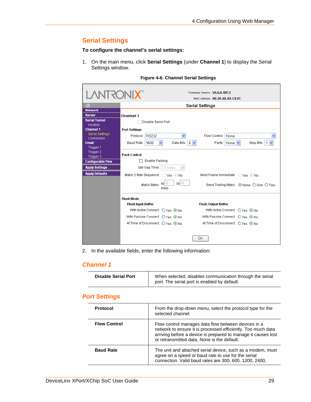## <span id="page-28-0"></span>**Serial Settings**

**To configure the channel's serial settings:**

1. On the main menu, click **Serial Settings** (under **Channel 1**) to display the Serial Settings window.

<span id="page-28-1"></span>

| <b>SUITER ANTIQUES</b>                  |                                                  | Firmware Version: V6.6.0.1RC2<br>MAC Address: 00-20-4A-A5-C8-FC |
|-----------------------------------------|--------------------------------------------------|-----------------------------------------------------------------|
| 샦                                       |                                                  | <b>Serial Settings</b>                                          |
| <b>Network</b>                          |                                                  |                                                                 |
| <b>Server</b>                           | Channel 1                                        |                                                                 |
| <b>Serial Tunnel</b><br><b>Hostlist</b> | Disable Serial Port                              |                                                                 |
| <b>Channel 1</b>                        | <b>Port Settings</b>                             |                                                                 |
| <b>Serial Settings</b><br>Connection    | Protocol: RS232                                  | Flow Control: None                                              |
| <b>Email</b>                            | Baud Rate:   9600<br>Data Bits: $8 \vee$         | Stop Bits:   1<br>Parity: None                                  |
| <b>Trigger 1</b>                        |                                                  |                                                                 |
| Trigger 2<br>Trigger 3                  | <b>Pack Control</b>                              |                                                                 |
| <b>Configurable Pins</b>                | Enable Packing                                   |                                                                 |
| <b>Apply Settings</b>                   | Idle Gap Time:   12 msec                         |                                                                 |
| <b>Apply Defaults</b>                   | Match 2 Byte Sequence: O Yes O No                | Send Frame Immediate: ○ Yes ● No.                               |
|                                         | $0x$ <sup>00</sup><br>Match Bytes: 0x00<br>(Hex) | Send Trailing Bytes: ⊙ None ○ One ○ Two                         |
|                                         | <b>Flush Mode</b>                                |                                                                 |
|                                         | Flush Input Buffer                               | <b>Flush Output Buffer</b>                                      |
|                                         | With Active Connect: ○ Yes ⊙ No                  | With Active Connect: ○ Yes ⊙ No                                 |
|                                         | With Passive Connect: ○ Yes ● No                 | With Passive Connect: ○ Yes ● No                                |
|                                         | At Time of Disconnect: ○ Yes ● No                | At Time of Disconnect: ○ Yes ● No                               |
|                                         |                                                  | ОК                                                              |

**Figure 4-6. Channel Serial Settings**

2. In the available fields, enter the following information:

#### *Channel 1*

| <b>Disable Serial Port</b> | When selected, disables communication through the serial<br>port. The serial port is enabled by default. |
|----------------------------|----------------------------------------------------------------------------------------------------------|

### *Port Settings*

| Protocol            | From the drop-down menu, select the protocol type for the<br>selected channel.                                                                                                                                                      |
|---------------------|-------------------------------------------------------------------------------------------------------------------------------------------------------------------------------------------------------------------------------------|
| <b>Flow Control</b> | Flow control manages data flow between devices in a<br>network to ensure it is processed efficiently. Too much data<br>arriving before a device is prepared to manage it causes lost<br>or retransmitted data. None is the default. |
| <b>Baud Rate</b>    | The unit and attached serial device, such as a modem, must<br>agree on a speed or baud rate to use for the serial<br>connection. Valid baud rates are 300, 600, 1200, 2400,                                                         |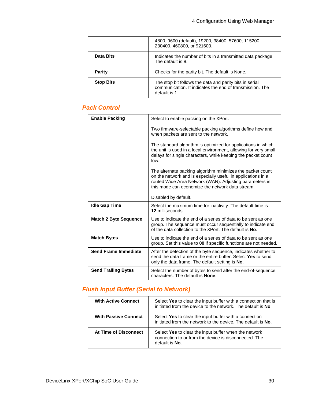|                  | 4800, 9600 (default), 19200, 38400, 57600, 115200,<br>230400, 460800, or 921600.                                                     |
|------------------|--------------------------------------------------------------------------------------------------------------------------------------|
| Data Bits        | Indicates the number of bits in a transmitted data package.<br>The default is 8.                                                     |
| <b>Parity</b>    | Checks for the parity bit. The default is None.                                                                                      |
| <b>Stop Bits</b> | The stop bit follows the data and parity bits in serial<br>communication. It indicates the end of transmission. The<br>default is 1. |

### *Pack Control*

| <b>Enable Packing</b>        | Select to enable packing on the XPort.                                                                                                                                                                                                    |
|------------------------------|-------------------------------------------------------------------------------------------------------------------------------------------------------------------------------------------------------------------------------------------|
|                              | Two firmware-selectable packing algorithms define how and<br>when packets are sent to the network.                                                                                                                                        |
|                              | The standard algorithm is optimized for applications in which<br>the unit is used in a local environment, allowing for very small<br>delays for single characters, while keeping the packet count<br>low.                                 |
|                              | The alternate packing algorithm minimizes the packet count<br>on the network and is especially useful in applications in a<br>routed Wide Area Network (WAN). Adjusting parameters in<br>this mode can economize the network data stream. |
|                              | Disabled by default.                                                                                                                                                                                                                      |
| <b>Idle Gap Time</b>         | Select the maximum time for inactivity. The default time is<br>12 milliseconds.                                                                                                                                                           |
| <b>Match 2 Byte Sequence</b> | Use to indicate the end of a series of data to be sent as one<br>group. The sequence must occur sequentially to indicate end<br>of the data collection to the XPort. The default is No.                                                   |
| <b>Match Bytes</b>           | Use to indicate the end of a series of data to be sent as one<br>group. Set this value to 00 if specific functions are not needed.                                                                                                        |
| Send Frame Immediate         | After the detection of the byte sequence, indicates whether to<br>send the data frame or the entire buffer. Select Yes to send<br>only the data frame. The default setting is No.                                                         |
| <b>Send Trailing Bytes</b>   | Select the number of bytes to send after the end-of-sequence<br>characters. The default is <b>None</b> .                                                                                                                                  |

## *Flush Input Buffer (Serial to Network)*

| <b>With Active Connect</b>  | Select Yes to clear the input buffer with a connection that is<br>initiated from the device to the network. The default is No.           |
|-----------------------------|------------------------------------------------------------------------------------------------------------------------------------------|
| <b>With Passive Connect</b> | Select Yes to clear the input buffer with a connection<br>initiated from the network to the device. The default is No.                   |
| At Time of Disconnect       | Select Yes to clear the input buffer when the network<br>connection to or from the device is disconnected. The<br>default is <b>No</b> . |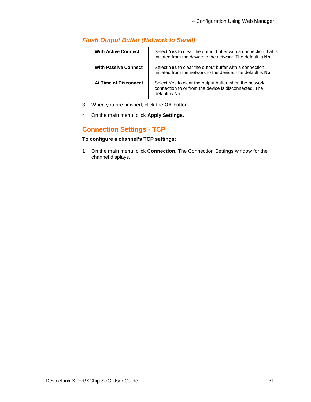| <b>With Active Connect</b>  | Select Yes to clear the output buffer with a connection that is<br>initiated from the device to the network. The default is No.   |
|-----------------------------|-----------------------------------------------------------------------------------------------------------------------------------|
| <b>With Passive Connect</b> | Select Yes to clear the output buffer with a connection<br>initiated from the network to the device. The default is No.           |
| At Time of Disconnect       | Select Yes to clear the output buffer when the network<br>connection to or from the device is disconnected. The<br>default is No. |

### *Flush Output Buffer (Network to Serial)*

- 3. When you are finished, click the **OK** button.
- 4. On the main menu, click **Apply Settings**.

### <span id="page-30-0"></span>**Connection Settings - TCP**

#### **To configure a channel's TCP settings:**

1. On the main menu, click **Connection.** The Connection Settings window for the channel displays.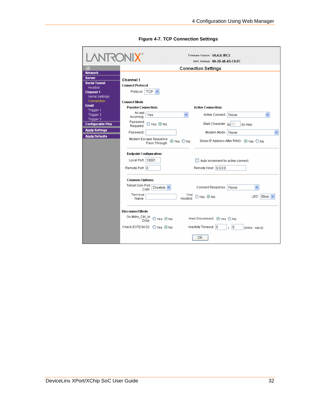<span id="page-31-0"></span>

| <b>XINOSTM</b>                        | Firmware Version: V6.6.0.1RC2<br>MAC Address: 00-20-4A-A5-C8-FC                              |
|---------------------------------------|----------------------------------------------------------------------------------------------|
| 샶                                     | <b>Connection Settings</b>                                                                   |
| <b>Network</b>                        |                                                                                              |
| <b>Server</b>                         | Channel 1                                                                                    |
| <b>Serial Tunnel</b>                  | <b>Connect Protocol</b>                                                                      |
| Hostlist<br><b>Channel 1</b>          | Protocol:   TCP \                                                                            |
| <b>Serial Settings</b>                |                                                                                              |
| Connection                            | <b>Connect Mode</b>                                                                          |
| <b>Email</b>                          | <b>Active Connection:</b><br><b>Passive Connection:</b>                                      |
| <b>Trigger 1</b>                      |                                                                                              |
| Trigger 2                             | Accept Yes<br>Active Connect:   None<br>v<br>Incomina:                                       |
| Trigger 3<br><b>Configurable Pins</b> | Password<br>Start Character: 0x 0D<br>$OYes$ $@$ No<br>(in Hex)<br>Required:                 |
| <b>Apply Settings</b>                 | Password:<br>Modem Mode: None                                                                |
| <b>Apply Defaults</b>                 | Modem Escape Sequence<br>⊙Yes ONo<br>Show IP Address After RING: ⊙ Yes ○ No<br>Pass Through: |
|                                       | <b>Endpoint Configuration:</b>                                                               |
|                                       | Local Port: 10001<br>l d<br>Auto increment for active connect                                |
|                                       | Remote Port: 0<br>Remote Host: 0.0.0.0                                                       |
|                                       | <b>Common Options:</b>                                                                       |
|                                       | Telnet Com Port  <br>Disable<br>Connect Response: None<br>Cntrl:                             |
|                                       | Terminal<br>Use<br>LED: Blink<br>OYes ⊙No<br>Hostlist:<br>Name:                              |
|                                       | <b>Disconnect Mode</b>                                                                       |
|                                       | On Mdm_Ctrl_In<br>Hard Disconnect: ⊙ Yes ○ No<br>Drop: O'Yes @ No                            |
|                                       | Check EOT(Ctrl-D): ○ Yes ● No<br>Inactivity Timeout: 0<br>10.<br>÷<br>(mins : secs)          |
|                                       | ОΚ                                                                                           |

### **Figure 4-7. TCP Connection Settings**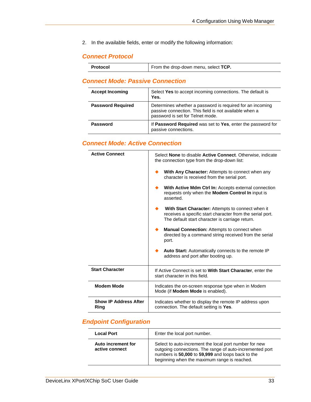2. In the available fields, enter or modify the following information:

### *Connect Protocol*

|  | Protocol | From the drop-down menu, select TCP. |
|--|----------|--------------------------------------|
|--|----------|--------------------------------------|

### *Connect Mode: Passive Connection*

| <b>Accept Incoming</b>   | Select Yes to accept incoming connections. The default is<br>Yes.                                                                                       |
|--------------------------|---------------------------------------------------------------------------------------------------------------------------------------------------------|
| <b>Password Required</b> | Determines whether a password is required for an incoming<br>passive connection. This field is not available when a<br>password is set for Telnet mode. |
| <b>Password</b>          | If Password Required was set to Yes, enter the password for<br>passive connections.                                                                     |

### *Connect Mode: Active Connection*

| <b>Active Connect</b>                | Select None to disable Active Connect. Otherwise, indicate<br>the connection type from the drop-down list:                                                        |  |  |
|--------------------------------------|-------------------------------------------------------------------------------------------------------------------------------------------------------------------|--|--|
|                                      | <b>With Any Character:</b> Attempts to connect when any<br>character is received from the serial port.                                                            |  |  |
|                                      | With Active Mdm Ctrl In: Accepts external connection<br>requests only when the Modem Control In input is<br>asserted.                                             |  |  |
|                                      | With Start Character: Attempts to connect when it<br>receives a specific start character from the serial port.<br>The default start character is carriage return. |  |  |
|                                      | <b>Manual Connection:</b> Attempts to connect when<br>directed by a command string received from the serial<br>port.                                              |  |  |
|                                      | <b>Auto Start:</b> Automatically connects to the remote IP<br>address and port after booting up.                                                                  |  |  |
| <b>Start Character</b>               | If Active Connect is set to <b>With Start Character</b> , enter the<br>start character in this field.                                                             |  |  |
| <b>Modem Mode</b>                    | Indicates the on-screen response type when in Modem<br>Mode (if Modem Mode is enabled).                                                                           |  |  |
| <b>Show IP Address After</b><br>Ring | Indicates whether to display the remote IP address upon<br>connection. The default setting is Yes.                                                                |  |  |

## *Endpoint Configuration*

| <b>Local Port</b>                    | Enter the local port number.                                                                                                                                                                                            |  |  |  |
|--------------------------------------|-------------------------------------------------------------------------------------------------------------------------------------------------------------------------------------------------------------------------|--|--|--|
| Auto increment for<br>active connect | Select to auto-increment the local port number for new<br>outgoing connections. The range of auto-incremented port<br>numbers is 50,000 to 59,999 and loops back to the<br>beginning when the maximum range is reached. |  |  |  |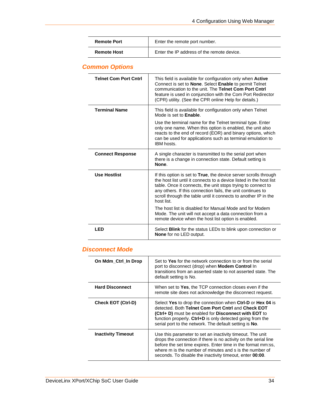| <b>Remote Port</b> | Enter the remote port number.              |
|--------------------|--------------------------------------------|
| <b>Remote Host</b> | Enter the IP address of the remote device. |

### *Common Options*

| <b>Teinet Com Port Cntrl</b> | This field is available for configuration only when <b>Active</b><br>Connect is set to <b>None</b> . Select <b>Enable</b> to permit Telnet<br>communication to the unit. The Telnet Com Port Cntrl<br>feature is used in conjunction with the Com Port Redirector<br>(CPR) utility. (See the CPR online Help for details.)                              |  |
|------------------------------|---------------------------------------------------------------------------------------------------------------------------------------------------------------------------------------------------------------------------------------------------------------------------------------------------------------------------------------------------------|--|
| <b>Terminal Name</b>         | This field is available for configuration only when Telnet<br>Mode is set to <b>Enable</b> .                                                                                                                                                                                                                                                            |  |
|                              | Use the terminal name for the Telnet terminal type. Enter<br>only one name. When this option is enabled, the unit also<br>reacts to the end of record (EOR) and binary options, which<br>can be used for applications such as terminal emulation to<br>IBM hosts.                                                                                       |  |
| <b>Connect Response</b>      | A single character is transmitted to the serial port when<br>there is a change in connection state. Default setting is<br>None.                                                                                                                                                                                                                         |  |
| <b>Use Hostlist</b>          | If this option is set to True, the device server scrolls through<br>the host list until it connects to a device listed in the host list<br>table. Once it connects, the unit stops trying to connect to<br>any others. If this connection fails, the unit continues to<br>scroll through the table until it connects to another IP in the<br>host list. |  |
|                              | The host list is disabled for Manual Mode and for Modem<br>Mode. The unit will not accept a data connection from a<br>remote device when the host list option is enabled.                                                                                                                                                                               |  |
| <b>LED</b>                   | Select <b>Blink</b> for the status LEDs to blink upon connection or<br><b>None</b> for no LED output.                                                                                                                                                                                                                                                   |  |

## *Disconnect Mode*

| On Mdm_Ctrl_In Drop       | Set to Yes for the network connection to or from the serial<br>port to disconnect (drop) when <b>Modem Control</b> In<br>transitions from an asserted state to not asserted state. The<br>default setting is No.                                                                                                    |  |
|---------------------------|---------------------------------------------------------------------------------------------------------------------------------------------------------------------------------------------------------------------------------------------------------------------------------------------------------------------|--|
| <b>Hard Disconnect</b>    | When set to Yes, the TCP connection closes even if the<br>remote site does not acknowledge the disconnect request.                                                                                                                                                                                                  |  |
| <b>Check EOT (Ctrl-D)</b> | Select Yes to drop the connection when Ctrl-D or Hex 04 is<br>detected. Both Telnet Com Port Cntrl and Check EOT<br>(Ctrl+ D) must be enabled for Disconnect with EOT to<br>function properly. Ctrl+D is only detected going from the<br>serial port to the network. The default setting is No.                     |  |
| <b>Inactivity Timeout</b> | Use this parameter to set an inactivity timeout. The unit<br>drops the connection if there is no activity on the serial line<br>before the set time expires. Enter time in the format mm:ss,<br>where m is the number of minutes and s is the number of<br>seconds. To disable the inactivity timeout, enter 00:00. |  |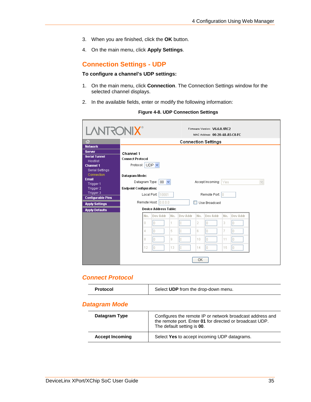- 3. When you are finished, click the **OK** button.
- 4. On the main menu, click **Apply Settings**.

### <span id="page-34-0"></span>**Connection Settings - UDP**

#### **To configure a channel's UDP settings:**

- 1. On the main menu, click **Connection**. The Connection Settings window for the selected channel displays.
- <span id="page-34-1"></span>2. In the available fields, enter or modify the following information:

| <b>LANTRONIX®</b>            |                                       |                                |                              |     |          |     | Firmware Version: V6.6.0.1RC2<br>MAC Address: 00-20-4A-A5-C8-FC |            |          |        |
|------------------------------|---------------------------------------|--------------------------------|------------------------------|-----|----------|-----|-----------------------------------------------------------------|------------|----------|--------|
| 备                            |                                       |                                |                              |     |          |     | <b>Connection Settings</b>                                      |            |          |        |
| <b>Network</b>               |                                       |                                |                              |     |          |     |                                                                 |            |          |        |
| <b>Server</b>                | Channel 1                             |                                |                              |     |          |     |                                                                 |            |          |        |
| <b>Serial Tunnel</b>         | <b>Connect Protocol</b>               |                                |                              |     |          |     |                                                                 |            |          |        |
| Hostlist<br><b>Channel 1</b> | Protocol: UDP                         |                                |                              |     |          |     |                                                                 |            |          |        |
| <b>Serial Settings</b>       |                                       |                                |                              |     |          |     |                                                                 |            |          |        |
| Connection                   | Datagram Mode:                        |                                |                              |     |          |     |                                                                 |            |          |        |
| Email                        |                                       |                                |                              |     |          |     | Accept Incoming:                                                | <b>Yes</b> |          |        |
| Trigger 1                    |                                       | Datagram Type: $ 00 \rangle$   |                              |     |          |     |                                                                 |            |          | $\vee$ |
| Trigger 2                    |                                       | <b>Endpoint Configuration:</b> |                              |     |          |     |                                                                 |            |          |        |
| Trigger 3                    |                                       | Local Port:                    | 10001                        |     |          |     | Remote Port: 0                                                  |            |          |        |
| <b>Configurable Pins</b>     |                                       |                                |                              |     |          |     |                                                                 |            |          |        |
| <b>Apply Settings</b>        | Remote Host: 0.0.0.0<br>Use Broadcast |                                |                              |     |          |     |                                                                 |            |          |        |
| <b>Apply Defaults</b>        |                                       |                                | <b>Device Address Table:</b> |     |          |     |                                                                 |            |          |        |
|                              |                                       | No.                            | Dev Addr                     | No. | Dev Addr | No. | Dev Addr                                                        | No.        | Dev Addr |        |
|                              |                                       | 0                              | In.                          |     | Io.      | 2   | I٥                                                              | 3          | O.       |        |
|                              |                                       |                                |                              |     |          |     |                                                                 |            |          |        |
|                              |                                       | 4                              | 10                           | 5   | Iо       | 6   | 10                                                              | 7          | 0        |        |
|                              |                                       | 8                              | In                           | g.  | lo.      | 10  | lo.                                                             | 11         | Io.      |        |
|                              |                                       |                                |                              |     |          |     |                                                                 |            |          |        |
|                              |                                       | 12                             | Ιo                           | 13  | lo.      | 14  | lo.                                                             | 15         | lo.      |        |

#### *Connect Protocol*

| <b>Protocol</b> | Select UDP from the drop-down menu. |
|-----------------|-------------------------------------|
|-----------------|-------------------------------------|

#### *Datagram Mode*

J.

| Datagram Type          | Configures the remote IP or network broadcast address and<br>the remote port. Enter 01 for directed or broadcast UDP.<br>The default setting is 00. |
|------------------------|-----------------------------------------------------------------------------------------------------------------------------------------------------|
| <b>Accept Incoming</b> | Select Yes to accept incoming UDP datagrams.                                                                                                        |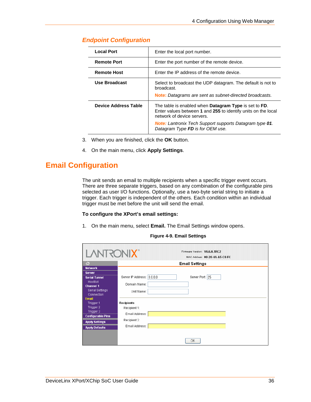| <b>Local Port</b>           | Enter the local port number.                                                                                                                                                                                                                                              |  |  |  |
|-----------------------------|---------------------------------------------------------------------------------------------------------------------------------------------------------------------------------------------------------------------------------------------------------------------------|--|--|--|
| <b>Remote Port</b>          | Enter the port number of the remote device.                                                                                                                                                                                                                               |  |  |  |
| <b>Remote Host</b>          | Enter the IP address of the remote device.                                                                                                                                                                                                                                |  |  |  |
| Use Broadcast               | Select to broadcast the UDP datagram. The default is not to<br>broadcast.<br><b>Note:</b> Datagrams are sent as subnet-directed broadcasts.                                                                                                                               |  |  |  |
| <b>Device Address Table</b> | The table is enabled when <b>Datagram Type</b> is set to <b>FD</b> .<br>Enter values between 1 and 255 to identify units on the local<br>network of device servers.<br><b>Note:</b> Lantronix Tech Support supports Datagram type 01.<br>Datagram Type FD is for OEM use. |  |  |  |

### *Endpoint Configuration*

- 3. When you are finished, click the **OK** button.
- 4. On the main menu, click **Apply Settings**.

## <span id="page-35-0"></span>**Email Configuration**

The unit sends an email to multiple recipients when a specific trigger event occurs. There are three separate triggers, based on any combination of the configurable pins selected as user I/O functions. Optionally, use a two-byte serial string to initiate a trigger. Each trigger is independent of the others. Each condition within an individual trigger must be met before the unit will send the email.

#### **To configure the XPort's email settings:**

<span id="page-35-1"></span>1. On the main menu, select **Email.** The Email Settings window opens.

|  |  |  | Figure 4-9. Email Settings |
|--|--|--|----------------------------|
|--|--|--|----------------------------|

| <b>LANTRONIX®</b>             | Firmware Version: V6.6.0.1RC2<br>MAC Address: 00-20-4A-A5-C8-FC |
|-------------------------------|-----------------------------------------------------------------|
| 샶                             | <b>Email Settings</b>                                           |
| <b>Network</b>                |                                                                 |
| <b>Server</b>                 |                                                                 |
| <b>Serial Tunnel</b>          | Server Port: 25<br>Server IP Address: 0.0.0.0                   |
| <b>Hostlist</b>               | Domain Name:                                                    |
| <b>Channel 1</b>              |                                                                 |
| <b>Serial Settings</b>        | Unit Name:                                                      |
| Connection                    |                                                                 |
| <b>Email</b>                  |                                                                 |
| <b>Trigger 1</b><br>Trigger 2 | Recipients                                                      |
| Trigger 3                     | Recipient 1:                                                    |
| <b>Configurable Pins</b>      | Email Address:                                                  |
|                               | Recipient 2:                                                    |
| <b>Apply Settings</b>         | Email Address:                                                  |
| <b>Apply Defaults</b>         |                                                                 |
|                               |                                                                 |
|                               | ОК                                                              |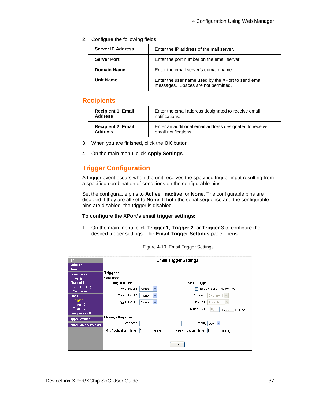2. Configure the following fields:

| <b>Server IP Address</b> | Enter the IP address of the mail server.                                                   |  |  |
|--------------------------|--------------------------------------------------------------------------------------------|--|--|
| <b>Server Port</b>       | Enter the port number on the email server.                                                 |  |  |
| Domain Name              | Enter the email server's domain name.                                                      |  |  |
| Unit Name                | Enter the user name used by the XPort to send email<br>messages. Spaces are not permitted. |  |  |

### **Recipients**

| <b>Recipient 1: Email</b> | Enter the email address designated to receive email     |
|---------------------------|---------------------------------------------------------|
| <b>Address</b>            | notifications.                                          |
| <b>Recipient 2: Email</b> | Enter an additional email address designated to receive |
| <b>Address</b>            | email notifications.                                    |

- 3. When you are finished, click the **OK** button.
- 4. On the main menu, click **Apply Settings**.

## **Trigger Configuration**

A trigger event occurs when the unit receives the specified trigger input resulting from a specified combination of conditions on the configurable pins.

Set the configurable pins to **Active**, **Inactive**, or **None**. The configurable pins are disabled if they are all set to **None**. If both the serial sequence and the configurable pins are disabled, the trigger is disabled.

#### **To configure the XPort's email trigger settings:**

1. On the main menu, click **Trigger 1**, **Trigger 2**, or **Trigger 3** to configure the desired trigger settings. The **Email Trigger Settings** page opens.

| 샶                             | <b>Email Trigger Settings</b>           |                                                 |  |  |
|-------------------------------|-----------------------------------------|-------------------------------------------------|--|--|
| <b>Network</b>                |                                         |                                                 |  |  |
| <b>Server</b>                 |                                         |                                                 |  |  |
| <b>Serial Tunnel</b>          | Trigger 1                               |                                                 |  |  |
| <b>Hostlist</b>               | <b>Conditions</b>                       |                                                 |  |  |
| <b>Channel 1</b>              | <b>Configurable Pins</b>                | <b>Serial Trigger</b>                           |  |  |
| <b>Serial Settings</b>        | Trigger Input 1:<br>None                | Enable Serial Trigger Input                     |  |  |
| Connection                    |                                         |                                                 |  |  |
| <b>Email</b>                  | Trigger Input 2:  <br>None<br>v         | Channel:<br>Channel $1 \vee$                    |  |  |
| <b>Trigger 1</b>              | Trigger Input 3:<br>None<br>v           | Data Size:<br>Two Bytes                         |  |  |
| Trigger 2                     |                                         |                                                 |  |  |
| Trigger 3                     |                                         | Match Data: $01$ 00<br>$0\sqrt{00}$<br>(in Hex) |  |  |
| <b>Configurable Pins</b>      |                                         |                                                 |  |  |
| <b>Apply Settings</b>         | <b>Message Properties</b>               |                                                 |  |  |
| <b>Apply Factory Defaults</b> | Message:                                | Priority<br>Low.<br>$\overline{\mathbf{v}}$     |  |  |
|                               | Min. Notification Interval: 1<br>(secs) | Re-notification Interval: 10<br>(secs)          |  |  |
|                               |                                         |                                                 |  |  |
|                               |                                         |                                                 |  |  |
|                               |                                         | 0k                                              |  |  |

Figure 4-10. Email Trigger Settings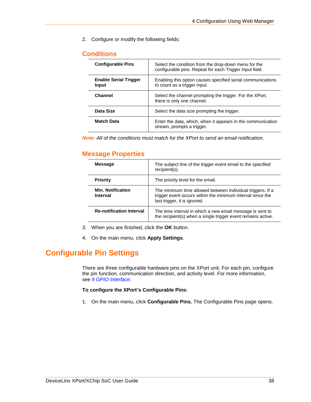2. Configure or modify the following fields:

## **Conditions**

| <b>Configurable Pins</b>              | Select the condition from the drop-down menu for the<br>configurable pins. Repeat for each Trigger Input field. |
|---------------------------------------|-----------------------------------------------------------------------------------------------------------------|
| <b>Enable Serial Trigger</b><br>Input | Enabling this option causes specified serial communications<br>to count as a trigger input.                     |
| Channel                               | Select the channel prompting the trigger. For the XPort,<br>there is only one channel.                          |
| Data Size                             | Select the data size prompting the trigger.                                                                     |
| <b>Match Data</b>                     | Enter the data, which, when it appears in the communication<br>stream, prompts a trigger.                       |

*Note: All of the conditions must match for the XPort to send an email notification.*

## **Message Properties**

| <b>Message</b>                              | The subject line of the trigger event email to the specified<br>recipient(s).                                                                            |
|---------------------------------------------|----------------------------------------------------------------------------------------------------------------------------------------------------------|
| <b>Priority</b>                             | The priority level for the email.                                                                                                                        |
| <b>Min. Notification</b><br><b>Interval</b> | The minimum time allowed between individual triggers. If a<br>trigger event occurs within the minimum interval since the<br>last trigger, it is ignored. |
| <b>Re-notification Interval</b>             | The time interval in which a new email message is sent to<br>the recipient(s) when a single trigger event remains active.                                |

- 3. When you are finished, click the **OK** button.
- 4. On the main menu, click **Apply Settings**.

# **Configurable Pin Settings**

There are three configurable hardware pins on the XPort unit. For each pin, configure the pin function, communication direction, and activity level. For more information, see *[9](#page-73-0) [GPIO Interface](#page-73-0)*.

#### **To configure the XPort's Configurable Pins:**

1. On the main menu, click **Configurable Pins.** The Configurable Pins page opens.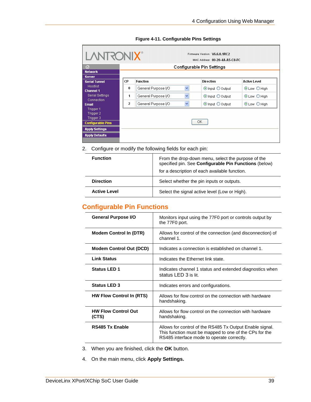| <b>LANTRONIX®</b>                   |    |                                     | Firmware Version: V6.6.0.1RC2<br>MAC Address: 00-20-4A-A5-C8-FC |                     |
|-------------------------------------|----|-------------------------------------|-----------------------------------------------------------------|---------------------|
| 샶<br><b>Network</b>                 |    |                                     | Configurable Pin Settings                                       |                     |
| <b>Server</b>                       |    |                                     |                                                                 |                     |
| <b>Serial Tunnel</b>                | СP | <b>Function</b>                     | <b>Direction</b>                                                | <b>Active Level</b> |
| <b>Hostlist</b><br><b>Channel 1</b> | 0  | General Purpose I/O<br>$\checkmark$ | $\odot$ Input $\odot$ Output                                    | © Low ○ High        |
| Serial Settings<br>Connection       | 1  | $\checkmark$<br>General Purpose I/O | $\odot$ Input $\odot$ Output                                    | ⊙ Low ○ High        |
| <b>Email</b>                        | 2  | General Purpose I/O<br>$\checkmark$ | $\odot$ Input $\odot$ Output                                    | O Low O High        |
| Trigger 1<br>Trigger 2              |    |                                     |                                                                 |                     |
| Trigger 3                           |    |                                     |                                                                 |                     |
| <b>Configurable Pins</b>            |    |                                     | ОК                                                              |                     |
| <b>Apply Settings</b>               |    |                                     |                                                                 |                     |
| <b>Apply Defaults</b>               |    |                                     |                                                                 |                     |

#### **Figure 4-11. Configurable Pins Settings**

2. Configure or modify the following fields for each pin:

| <b>Function</b>     | From the drop-down menu, select the purpose of the<br>specified pin. See Configurable Pin Functions (below)<br>for a description of each available function. |
|---------------------|--------------------------------------------------------------------------------------------------------------------------------------------------------------|
| <b>Direction</b>    | Select whether the pin inputs or outputs.                                                                                                                    |
| <b>Active Level</b> | Select the signal active level (Low or High).                                                                                                                |

## **Configurable Pin Functions**

| <b>General Purpose I/O</b>          | Monitors input using the 77F0 port or controls output by<br>the 77F0 port.                                                                                       |  |  |
|-------------------------------------|------------------------------------------------------------------------------------------------------------------------------------------------------------------|--|--|
| <b>Modem Control In (DTR)</b>       | Allows for control of the connection (and disconnection) of<br>channel 1.                                                                                        |  |  |
| <b>Modem Control Out (DCD)</b>      | Indicates a connection is established on channel 1.                                                                                                              |  |  |
| <b>Link Status</b>                  | Indicates the Ethernet link state.                                                                                                                               |  |  |
| <b>Status LED 1</b>                 | Indicates channel 1 status and extended diagnostics when<br>status LED 3 is lit.                                                                                 |  |  |
| <b>Status LED 3</b>                 | Indicates errors and configurations.                                                                                                                             |  |  |
| <b>HW Flow Control In (RTS)</b>     | Allows for flow control on the connection with hardware<br>handshaking.                                                                                          |  |  |
| <b>HW Flow Control Out</b><br>(CTS) | Allows for flow control on the connection with hardware<br>handshaking.                                                                                          |  |  |
| <b>RS485 Tx Enable</b>              | Allows for control of the RS485 Tx Output Enable signal.<br>This function must be mapped to one of the CPs for the<br>RS485 interface mode to operate correctly. |  |  |
|                                     |                                                                                                                                                                  |  |  |

- 3. When you are finished, click the **OK** button.
- 4. On the main menu, click **Apply Settings.**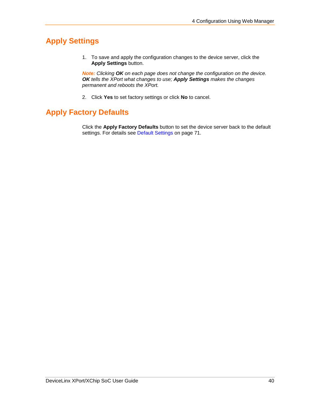# **Apply Settings**

1. To save and apply the configuration changes to the device server, click the **Apply Settings** button.

*Note: Clicking OK on each page does not change the configuration on the device. OK tells the XPort what changes to use; Apply Settings makes the changes permanent and reboots the XPort.*

2. Click **Yes** to set factory settings or click **No** to cancel.

# **Apply Factory Defaults**

Click the **Apply Factory Defaults** button to set the device server back to the default settings. For details see Default [Settings](#page-70-0) on page [71.](#page-70-0)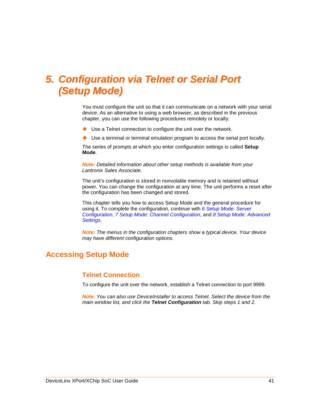# *5. Configuration via Telnet or Serial Port (Setup Mode)*

You must configure the unit so that it can communicate on a network with your serial device. As an alternative to using a web browser, as described in the previous chapter, you can use the following procedures remotely or locally:

- ◆ Use a Telnet connection to configure the unit over the network.
- Use a terminal or terminal emulation program to access the serial port locally.

The series of prompts at which you enter configuration settings is called **Setup Mode**.

*Note: Detailed information about other setup methods is available from your Lantronix Sales Associate.*

The unit's configuration is stored in nonvolatile memory and is retained without power. You can change the configuration at any time. The unit performs a reset after the configuration has been changed and stored.

This chapter tells you how to access Setup Mode and the general procedure for using it. To complete the configuration, continue with *[6](#page-43-0) [Setup Mode: Server](#page-43-0)  [Configuration](#page-43-0)*, *[7](#page-46-0) [Setup Mode: Channel Configuration](#page-46-0)*, and *[8](#page-61-0) [Setup Mode: Advanced](#page-61-0)  [Settings](#page-61-0)*.

*Note: The menus in the configuration chapters show a typical device. Your device may have different configuration options.* 

## <span id="page-40-0"></span>**Accessing Setup Mode**

### **Telnet Connection**

To configure the unit over the network, establish a Telnet connection to port 9999.

*Note: You can also use DeviceInstaller to access Telnet. Select the device from the main window list, and click the Telnet Configuration tab. Skip steps 1 and 2.*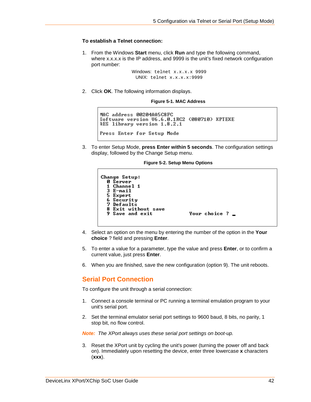#### **To establish a Telnet connection:**

1. From the Windows **Start** menu, click **Run** and type the following command, where x.x.x.x is the IP address, and 9999 is the unit's fixed network configuration port number:

> Windows: telnet x.x.x.x 9999 UNIX: telnet x.x.x.x:9999

2. Click **OK**. The following information displays.

**Figure 5-1. MAC Address**

```
MAC address 00204AA5C8FC
Software version U6.6.0.1RC2 (080710) XPTEXE
AES library version 1.8.2.1
Press Enter for Setup Mode
```
3. To enter Setup Mode, **press Enter within 5 seconds**. The configuration settings display, followed by the Change Setup menu.

**Figure 5-2. Setup Menu Options**

```
Change Setup:
 B Server
  1 Channel 1
  3 E-mail
  5 Expert
  6 Security
  7 Defaults
  8 Exit without save
  9 Save and exit
                              Your choice ? -
```
- 4. Select an option on the menu by entering the number of the option in the **Your choice** ? field and pressing **Enter**.
- 5. To enter a value for a parameter, type the value and press **Enter**, or to confirm a current value, just press **Enter**.
- 6. When you are finished, save the new configuration (option 9). The unit reboots.

#### **Serial Port Connection**

To configure the unit through a serial connection:

- 1. Connect a console terminal or PC running a terminal emulation program to your unit's serial port.
- 2. Set the terminal emulator serial port settings to 9600 baud, 8 bits, no parity, 1 stop bit, no flow control.

*Note: The XPort always uses these serial port settings on boot-up.*

3. Reset the XPort unit by cycling the unit's power (turning the power off and back on). Immediately upon resetting the device, enter three lowercase **x** characters (**xxx**).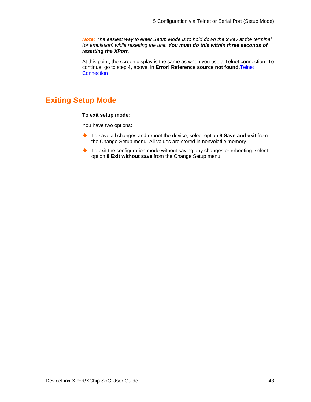*Note: The easiest way to enter Setup Mode is to hold down the x key at the terminal (or emulation) while resetting the unit. You must do this within three seconds of resetting the XPort.*

At this point, the screen display is the same as when you use a Telnet connection. To continue, go to step 4, above, in **Error! Reference source not found.**[Telnet](#page-40-0)  **[Connection](#page-40-0)** 

## **Exiting Setup Mode**

.

#### **To exit setup mode:**

You have two options:

- To save all changes and reboot the device, select option **9 Save and exit** from the Change Setup menu. All values are stored in nonvolatile memory.
- ◆ To exit the configuration mode without saving any changes or rebooting. select option **8 Exit without save** from the Change Setup menu.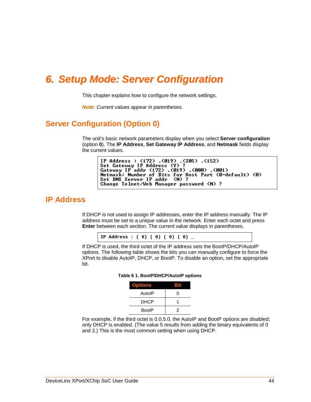# <span id="page-43-0"></span>*6. Setup Mode: Server Configuration*

This chapter explains how to configure the network settings.

*Note: Current values appear in parentheses.*

## **Server Configuration (Option 0)**

The unit's basic network parameters display when you select **Server configuration**  (option **0**). The **IP Address**, **Set Gateway IP Address**, and **Netmask** fields display the current values.

```
IP Address : <172> .<019> .<205> .<152><br>Set Gateway IP Address <Y> ?<br>Gateway IP addr <172> .<019> .<000> .<001>
Netmask: Number of Bits for Host Part (0=default) (0)<br>Set DNS Server IP addr (N) ?<br>Change Telnet/Web Manager password (N) ?
```
## **IP Address**

If DHCP is not used to assign IP addresses, enter the IP address manually. The IP address must be set to a unique value in the network. Enter each octet and press **Enter** between each section. The current value displays in parentheses.

**IP Address : ( 0) ( 0) ( 0) ( 0) \_**

If DHCP is used, the third octet of the IP address sets the BootP/DHCP/AutoIP options. The following table shows the bits you can manually configure to force the XPort to disable AutoIP, DHCP, or BootP. To disable an option, set the appropriate bit.

| <b>Options</b> | Bit |
|----------------|-----|
| AutolP         | ŋ   |
| <b>DHCP</b>    |     |
| <b>BootP</b>   | 2   |

#### **Table 6 1. BootP/DHCP/AutoIP options**

For example, if the third octet is 0.0.5.0, the AutoIP and BootP options are disabled; only DHCP is enabled. (The value 5 results from adding the binary equivalents of 0 and 2.) This is the most common setting when using DHCP.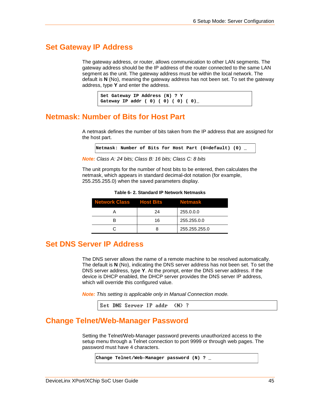## **Set Gateway IP Address**

The gateway address, or router, allows communication to other LAN segments. The gateway address should be the IP address of the router connected to the same LAN segment as the unit. The gateway address must be within the local network. The default is **N** (No), meaning the gateway address has not been set. To set the gateway address, type **Y** and enter the address.

```
Set Gateway IP Address (N) ? Y
Gateway IP addr ( 0) ( 0) ( 0) ( 0)_
```
## **Netmask: Number of Bits for Host Part**

A netmask defines the number of bits taken from the IP address that are assigned for the host part.

```
Netmask: Number of Bits for Host Part (0=default) (0) _
```
*Note: Class A: 24 bits; Class B: 16 bits; Class C: 8 bits*

The unit prompts for the number of host bits to be entered, then calculates the netmask, which appears in standard decimal-dot notation (for example, 255.255.255.0) when the saved parameters display.

| <b>Network Class Host Bits</b> |    | <b>Netmask</b> |
|--------------------------------|----|----------------|
|                                | 24 | 255,0,0,0      |
|                                | 16 | 255.255.0.0    |
|                                |    | 255.255.255.0  |

#### **Table 6- 2. Standard IP Network Netmasks**

## **Set DNS Server IP Address**

The DNS server allows the name of a remote machine to be resolved automatically. The default is **N** (No), indicating the DNS server address has not been set. To set the DNS server address, type **Y**. At the prompt, enter the DNS server address. If the device is DHCP enabled, the DHCP server provides the DNS server IP address, which will override this configured value.

*Note: This setting is applicable only in Manual Connection mode.*

Set DNS Server IP addr (N) ?

## **Change Telnet/Web-Manager Password**

Setting the Telnet/Web-Manager password prevents unauthorized access to the setup menu through a Telnet connection to port 9999 or through web pages. The password must have 4 characters.

```
Change Telnet/Web-Manager password (N) ? _
```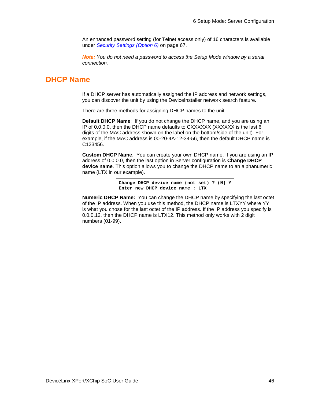An enhanced password setting (for Telnet access only) of 16 characters is available under *[Security Settings \(Option 6\)](#page-66-0)* on page [67.](#page-66-0)

*Note: You do not need a password to access the Setup Mode window by a serial connection.* 

## **DHCP Name**

If a DHCP server has automatically assigned the IP address and network settings, you can discover the unit by using the DeviceInstaller network search feature.

There are three methods for assigning DHCP names to the unit.

**Default DHCP Name**: If you do not change the DHCP name, and you are using an IP of 0.0.0.0, then the DHCP name defaults to CXXXXXX (XXXXXX is the last 6 digits of the MAC address shown on the label on the bottom/side of the unit). For example, if the MAC address is 00-20-4A-12-34-56, then the default DHCP name is C123456.

**Custom DHCP Name**: You can create your own DHCP name. If you are using an IP address of 0.0.0.0, then the last option in Server configuration is **Change DHCP device name**. This option allows you to change the DHCP name to an alphanumeric name (LTX in our example).

> **Change DHCP device name (not set) ? (N) Y Enter new DHCP device name : LTX**

**Numeric DHCP Name:** You can change the DHCP name by specifying the last octet of the IP address. When you use this method, the DHCP name is LTXYY where YY is what you chose for the last octet of the IP address. If the IP address you specify is 0.0.0.12, then the DHCP name is LTX12. This method only works with 2 digit numbers (01-99).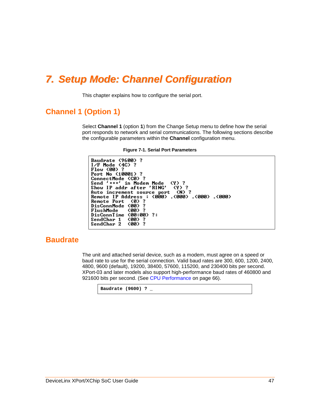# <span id="page-46-0"></span>*7. Setup Mode: Channel Configuration*

This chapter explains how to configure the serial port.

## **Channel 1 (Option 1)**

Select **Channel 1** (option **1**) from the Change Setup menu to define how the serial port responds to network and serial communications. The following sections describe the configurable parameters within the **Channel** configuration menu.

**Figure 7-1. Serial Port Parameters**

```
Baudrate (9600) ?
Baudrate (9600) ?<br>
I/F Mode (4C) ?<br>
Plow (00) ?<br>
Port No (10001) ?<br>
Send '+++' in Modem Mode (Y) ?<br>
Send '+++' in Modem Mode (Y) ?<br>
Show IP addr after 'RING' (Y) ?<br>
Auto increment source port (N) ?<br>
Remote IP Address : (00
   DisConnTime (00:00) ?:
                                      (00) ?<br>(00) ?
   SendChar 1
   SendChar<sub>2</sub>
```
### **Baudrate**

The unit and attached serial device, such as a modem, must agree on a speed or baud rate to use for the serial connection. Valid baud rates are 300, 600, 1200, 2400, 4800, 9600 (default), 19200, 38400, 57600, 115200, and 230400 bits per second. XPort-03 and later models also support high-performance baud rates of 460800 and 921600 bits per second. (See [CPU Performance](#page-65-0) on page [66\)](#page-64-0).

**Baudrate (9600) ? \_**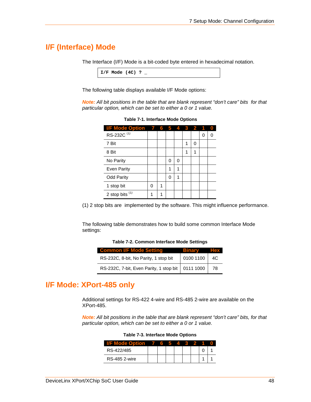# **I/F (Interface) Mode**

The Interface (I/F) Mode is a bit-coded byte entered in hexadecimal notation.

```
I/F Mode (4C) ? _
```
The following table displays available I/F Mode options:

*Note: All bit positions in the table that are blank represent "don't care" bits for that particular option, which can be set to either a 0 or 1 value.*

| I/F Mode Option 7 6 5 4 3 2 1 |   |   |   |   |   |   |   | 0 |
|-------------------------------|---|---|---|---|---|---|---|---|
| RS-232C <sup>(1)</sup>        |   |   |   |   |   |   | 0 | 0 |
| 7 Bit                         |   |   |   |   | 1 | U |   |   |
| 8 Bit                         |   |   |   |   | 1 | 1 |   |   |
| No Parity                     |   |   | 0 | 0 |   |   |   |   |
| Even Parity                   |   |   | 1 | 1 |   |   |   |   |
| <b>Odd Parity</b>             |   |   | 0 | 1 |   |   |   |   |
| 1 stop bit                    | 0 | 1 |   |   |   |   |   |   |
| 2 stop bits $(1)$             | 1 | 1 |   |   |   |   |   |   |

**Table 7-1. Interface Mode Options**

(1) 2 stop bits are implemented by the software. This might influence performance.

The following table demonstrates how to build some common Interface Mode settings:

**Table 7-2. Common Interface Mode Settings**

| <b>Common I/F Mode Setting</b>                           | <b>Binary</b> | <b>THEX</b> |
|----------------------------------------------------------|---------------|-------------|
| RS-232C, 8-bit, No Parity, 1 stop bit                    | 0100 1100 4C  |             |
| RS-232C, 7-bit, Even Parity, 1 stop bit   0111 1000   78 |               |             |

## **I/F Mode: XPort-485 only**

Additional settings for RS-422 4-wire and RS-485 2-wire are available on the XPort-485.

*Note: All bit positions in the table that are blank represent "don't care" bits, for that particular option, which can be set to either a 0 or 1 value.*

| <b>I/F Mode Option</b> | $\mathbf{Z}$ | $\bullet$ |  |  |  |
|------------------------|--------------|-----------|--|--|--|
| RS-422/485             |              |           |  |  |  |
| <b>RS-485 2-wire</b>   |              |           |  |  |  |

**Table 7-3. Interface Mode Options**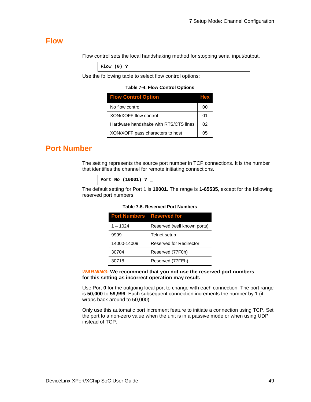## **Flow**

Flow control sets the local handshaking method for stopping serial input/output.

**Flow (0) ? \_**

Use the following table to select flow control options:

**Table 7-4. Flow Control Options**

| <b>Flow Control Option</b>            |        |
|---------------------------------------|--------|
| No flow control                       | $($ )( |
| XON/XOFF flow control                 | 01     |
| Hardware handshake with RTS/CTS lines | 02     |
| XON/XOFF pass characters to host      | 05     |

## <span id="page-48-0"></span>**Port Number**

The setting represents the source port number in TCP connections. It is the number that identifies the channel for remote initiating connections.

```
Port No (10001) ? _
```
The default setting for Port 1 is **10001**. The range is **1-65535**, except for the following reserved port numbers:

| <b>Port Numbers Reserved for</b> |                             |
|----------------------------------|-----------------------------|
| $1 - 1024$                       | Reserved (well known ports) |
| 9999                             | Telnet setup                |
| 14000-14009                      | Reserved for Redirector     |
| 30704                            | Reserved (77F0h)            |
| 30718                            | Reserved (77FEh)            |

#### *WARNING:* **We recommend that you not use the reserved port numbers for this setting as incorrect operation may result.**

Use Port **0** for the outgoing local port to change with each connection. The port range is **50,000** to **59,999**. Each subsequent connection increments the number by 1 (it wraps back around to 50,000).

Only use this automatic port increment feature to initiate a connection using TCP. Set the port to a non-zero value when the unit is in a passive mode or when using UDP instead of TCP.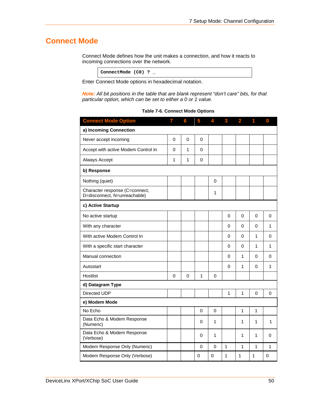# <span id="page-49-0"></span>**Connect Mode**

Connect Mode defines how the unit makes a connection, and how it reacts to incoming connections over the network.

**ConnectMode (C0) ? \_**

Enter Connect Mode options in hexadecimal notation.

*Note: All bit positions in the table that are blank represent "don't care" bits, for that particular option, which can be set to either a 0 or 1 value.*

| <b>Connect Mode Option</b>                                     | 7            | 6           | 5           | 4           | 3        | $\overline{2}$ | $\overline{\mathbf{1}}$ | $\bf{0}$ |
|----------------------------------------------------------------|--------------|-------------|-------------|-------------|----------|----------------|-------------------------|----------|
| a) Incoming Connection                                         |              |             |             |             |          |                |                         |          |
| Never accept incoming                                          | 0            | $\mathbf 0$ | 0           |             |          |                |                         |          |
| Accept with active Modem Control In                            | $\mathbf{0}$ | 1           | 0           |             |          |                |                         |          |
| Always Accept                                                  | 1            | 1           | 0           |             |          |                |                         |          |
| b) Response                                                    |              |             |             |             |          |                |                         |          |
| Nothing (quiet)                                                |              |             |             | $\mathbf 0$ |          |                |                         |          |
| Character response (C=connect,<br>D=disconnect, N=unreachable) |              |             |             | 1           |          |                |                         |          |
| c) Active Startup                                              |              |             |             |             |          |                |                         |          |
| No active startup                                              |              |             |             |             | 0        | 0              | 0                       | 0        |
| With any character                                             |              |             |             |             | 0        | 0              | 0                       | 1        |
| With active Modem Control In                                   |              |             |             |             | 0        | 0              | 1                       | 0        |
| With a specific start character                                |              |             |             |             | 0        | $\Omega$       | 1                       | 1        |
| Manual connection                                              |              |             |             |             | 0        | 1              | 0                       | 0        |
| Autostart                                                      |              |             |             |             | $\Omega$ | 1              | $\Omega$                | 1        |
| <b>Hostlist</b>                                                | 0            | 0           | 1           | $\mathbf 0$ |          |                |                         |          |
| d) Datagram Type                                               |              |             |             |             |          |                |                         |          |
| Directed UDP                                                   |              |             |             |             | 1        | 1              | $\mathbf 0$             | 0        |
| e) Modem Mode                                                  |              |             |             |             |          |                |                         |          |
| No Echo                                                        |              |             | 0           | 0           |          | 1              | $\mathbf{1}$            |          |
| Data Echo & Modem Response<br>(Numeric)                        |              |             | 0           | 1           |          | 1              | 1                       | 1        |
| Data Echo & Modem Response<br>(Verbose)                        |              |             | 0           | 1           |          | 1              | 1                       | $\Omega$ |
| Modem Response Only (Numeric)                                  |              |             | $\mathbf 0$ | 0           | 1        | 1              | 1                       | 1        |
| Modem Response Only (Verbose)                                  |              |             | 0           | 0           | 1        | 1              | 1                       | 0        |

**Table 7-6. Connect Mode Options**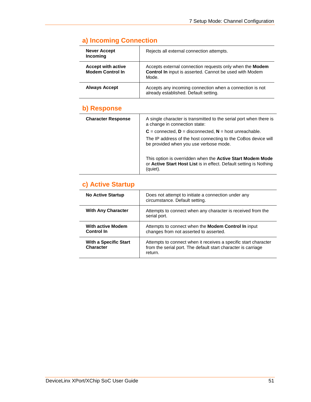# **a) Incoming Connection**

| <b>Never Accept</b><br><b>Incoming</b>               | Rejects all external connection attempts.                                                                                                  |
|------------------------------------------------------|--------------------------------------------------------------------------------------------------------------------------------------------|
| <b>Accept with active</b><br><b>Modem Control In</b> | Accepts external connection requests only when the <b>Modem</b><br><b>Control In</b> input is asserted. Cannot be used with Modem<br>Mode. |
| <b>Always Accept</b>                                 | Accepts any incoming connection when a connection is not<br>already established. Default setting.                                          |

# **b) Response**

| <b>Character Response</b> | A single character is transmitted to the serial port when there is<br>a change in connection state:                                                 |
|---------------------------|-----------------------------------------------------------------------------------------------------------------------------------------------------|
|                           | $C =$ connected, $D =$ disconnected, $N =$ host unreachable.                                                                                        |
|                           | The IP address of the host connecting to the CoBos device will<br>be provided when you use verbose mode.                                            |
|                           | This option is overridden when the <b>Active Start Modem Mode</b><br>or Active Start Host List is in effect. Default setting is Nothing<br>(quiet). |

# **c) Active Startup**

| <b>No Active Startup</b>                         | Does not attempt to initiate a connection under any<br>circumstance. Default setting.                                                       |
|--------------------------------------------------|---------------------------------------------------------------------------------------------------------------------------------------------|
| <b>With Any Character</b>                        | Attempts to connect when any character is received from the<br>serial port.                                                                 |
| <b>With active Modem</b><br><b>Control In</b>    | Attempts to connect when the <b>Modem Control In</b> input<br>changes from not asserted to asserted.                                        |
| <b>With a Specific Start</b><br><b>Character</b> | Attempts to connect when it receives a specific start character<br>from the serial port. The default start character is carriage<br>return. |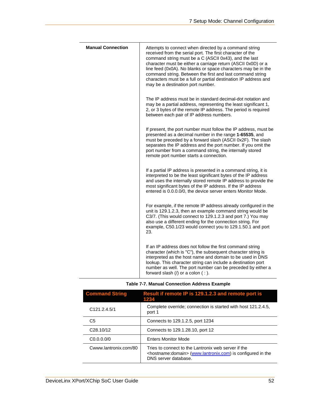| <b>Manual Connection</b> | Attempts to connect when directed by a command string<br>received from the serial port. The first character of the<br>command string must be a C (ASCII 0x43), and the last<br>character must be either a carriage return (ASCII 0x0D) or a<br>line feed (0x0A). No blanks or space characters may be in the<br>command string. Between the first and last command string<br>characters must be a full or partial destination IP address and<br>may be a destination port number. |
|--------------------------|-----------------------------------------------------------------------------------------------------------------------------------------------------------------------------------------------------------------------------------------------------------------------------------------------------------------------------------------------------------------------------------------------------------------------------------------------------------------------------------|
|                          | The IP address must be in standard decimal-dot notation and<br>may be a partial address, representing the least significant 1,<br>2, or 3 bytes of the remote IP address. The period is required<br>between each pair of IP address numbers.                                                                                                                                                                                                                                      |
|                          | If present, the port number must follow the IP address, must be<br>presented as a decimal number in the range 1-65535, and<br>must be preceded by a forward slash (ASCII 0x2F). The slash<br>separates the IP address and the port number. If you omit the<br>port number from a command string, the internally stored<br>remote port number starts a connection.                                                                                                                 |
|                          | If a partial IP address is presented in a command string, it is<br>interpreted to be the least significant bytes of the IP address<br>and uses the internally stored remote IP address to provide the<br>most significant bytes of the IP address. If the IP address<br>entered is 0.0.0.0/0, the device server enters Monitor Mode.                                                                                                                                              |
|                          | For example, if the remote IP address already configured in the<br>unit is 129.1.2.3, then an example command string would be<br>C3/7. (This would connect to 129.1.2.3 and port 7.) You may<br>also use a different ending for the connection string. For<br>example, C50.1/23 would connect you to 129.1.50.1 and port<br>23.                                                                                                                                                   |
|                          | If an IP address does not follow the first command string<br>character (which is "C"), the subsequent character string is<br>interpreted as the host name and domain to be used in DNS<br>lookup. This character string can include a destination port<br>number as well. The port number can be preceded by either a<br>forward slash $($ ) or a colon $($ : $).$                                                                                                                |

| <b>Command String</b>     | Result if remote IP is 129.1.2.3 and remote port is<br>1234                                                                                                |
|---------------------------|------------------------------------------------------------------------------------------------------------------------------------------------------------|
| C <sub>121</sub> .2.4.5/1 | Complete override; connection is started with host 121.2.4.5.<br>port 1                                                                                    |
| C5                        | Connects to 129.1.2.5, port 1234                                                                                                                           |
| C <sub>28.10</sub> /12    | Connects to 129.1.28.10, port 12                                                                                                                           |
| C <sub>0.0.0.0/0</sub>    | <b>Enters Monitor Mode</b>                                                                                                                                 |
| Cwww.lantronix.com/80     | Tries to connect to the Lantronix web server if the<br><hostname: domain=""> (www.lantronix.com) is configured in the<br/>DNS server database.</hostname:> |

### **Table 7-7. Manual Connection Address Example**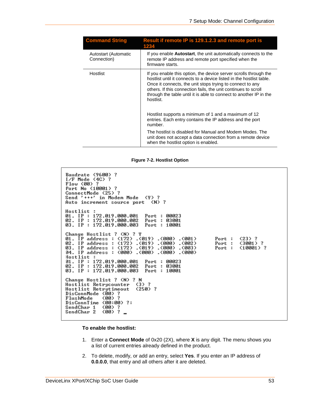| <b>Command String</b>               | Result if remote IP is 129.1.2.3 and remote port is<br>1234                                                                                                                                                                                                                                                                                                |
|-------------------------------------|------------------------------------------------------------------------------------------------------------------------------------------------------------------------------------------------------------------------------------------------------------------------------------------------------------------------------------------------------------|
| Autostart (Automatic<br>Connection) | If you enable <b>Autostart</b> , the unit automatically connects to the<br>remote IP address and remote port specified when the<br>firmware starts.                                                                                                                                                                                                        |
| Hostlist                            | If you enable this option, the device server scrolls through the<br>hostlist until it connects to a device listed in the hostlist table.<br>Once it connects, the unit stops trying to connect to any<br>others. If this connection fails, the unit continues to scroll<br>through the table until it is able to connect to another IP in the<br>hostlist. |
|                                     | Hostlist supports a minimum of 1 and a maximum of 12<br>entries. Each entry contains the IP address and the port<br>number.                                                                                                                                                                                                                                |
|                                     | The hostlist is disabled for Manual and Modem Modes. The<br>unit does not accept a data connection from a remote device<br>when the hostlist option is enabled.                                                                                                                                                                                            |

**Figure 7-2. Hostlist Option**

```
Baudrate (9600) ?<br>I/F Mode (4C) ?
Flow (00) ?
Port No (10001) ?
ConnectMode (25) ?
Send '+++' in Modem Mode
                                    (Y) ?
Auto increment source port (N) ?
Hostlist :
01. IP: 172.019.000.001
                                    Port: 00023
02. IP : 172.019.000.002<br>03. IP : 172.019.000.002<br>03. IP : 172.019.000.003
                                    Port : 03001
                                    Port : 10001
Change Hostlist ? (N) ? Y
01. IP address : (172) .(019) .(000) .(001)<br>02. IP address : (172) .(019) .(000) .(002)
                                                                                 (23) ?
                                                                      Port :
                                                                                 (3001) ?
                                                                      Port :
03. IP address : (172) .(019) .(000) .(003)<br>04. IP address : (000) .(000) .(000) .(000)
                                                                                 (10001) ?
                                                                      Port :
Hostlist :
01. IP: 172.019.000.001
                                     Port: 00023
02. IP : 172.019.000.002<br>03. IP : 172.019.000.002<br>03. IP : 172.019.000.003
                                     Port : 03001
                                    Port : 10001
Change Hostlist ? (N) ? N
Hostlist Retrycounter<br>Hostlist Retrytimeout
                                (3) ?
                                (250) ?
DisConnMode (00) ?
                 (00) ?
FlushMode
DisConnTime
                 (00:00) ?:
SendChar 1
                 (00) ?
SendChar 2
                 (00) ?
```
**To enable the hostlist:**

- 1. Enter a **Connect Mode** of 0x20 (2X), where **X** is any digit. The menu shows you a list of current entries already defined in the product.
- 2. To delete, modify, or add an entry, select **Yes**. If you enter an IP address of **0.0.0.0**, that entry and all others after it are deleted.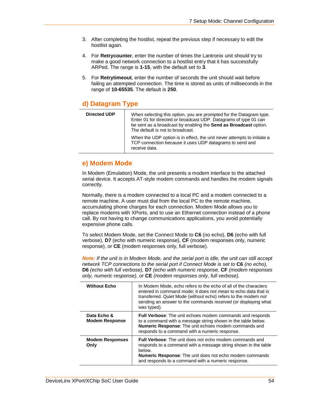- 3. After completing the hostlist, repeat the previous step if necessary to edit the hostlist again.
- 4. For **Retrycounter**, enter the number of times the Lantronix unit should try to make a good network connection to a hostlist entry that it has successfully ARPed. The range is **1-15**, with the default set to **3**.
- 5. For **Retrytimeout**, enter the number of seconds the unit should wait before failing an attempted connection. The time is stored as units of milliseconds in the range of **10-65535**. The default is **250**.

## **d) Datagram Type**

| <b>Directed UDP</b> | When selecting this option, you are prompted for the Datagram type.<br>Enter 01 for directed or broadcast UDP. Datagrams of type 01 can<br>be sent as a broadcast by enabling the Send as Broadcast option.<br>The default is not to broadcast. |
|---------------------|-------------------------------------------------------------------------------------------------------------------------------------------------------------------------------------------------------------------------------------------------|
|                     | When the UDP option is in effect, the unit never attempts to initiate a<br>TCP connection because it uses UDP datagrams to send and<br>receive data.                                                                                            |

### **e) Modem Mode**

In Modem (Emulation) Mode, the unit presents a modem interface to the attached serial device. It accepts AT-style modem commands and handles the modem signals correctly.

Normally, there is a modem connected to a local PC and a modem connected to a remote machine. A user must dial from the local PC to the remote machine, accumulating phone charges for each connection. Modem Mode allows you to replace modems with XPorts, and to use an Ethernet connection instead of a phone call. By not having to change communications applications, you avoid potentially expensive phone calls.

To select Modem Mode, set the Connect Mode to **C6** (no echo), **D6** (echo with full verbose), **D7** (echo with numeric response), **CF** (modem responses only, numeric response), or **CE** (modem responses only, full verbose).

*Note: If the unit is in Modem Mode, and the serial port is idle, the unit can still accept network TCP connections to the serial port if Connect Mode is set to* **C6** *(no echo),*  **D6** *(echo with full verbose),* **D7** *(echo with numeric response,* **CF** *(modem responses only, numeric response), or* **CE** *(modem responses only, full verbose).*

| <b>Without Echo</b>                  | In Modem Mode, echo refers to the echo of all of the characters<br>entered in command mode; it does not mean to echo data that is<br>transferred. Quiet Mode (without echo) refers to the modem not<br>sending an answer to the commands received (or displaying what<br>was typed). |
|--------------------------------------|--------------------------------------------------------------------------------------------------------------------------------------------------------------------------------------------------------------------------------------------------------------------------------------|
| Data Echo &<br><b>Modem Response</b> | <b>Full Verbose:</b> The unit echoes modem commands and responds<br>to a command with a message string shown in the table below.<br>Numeric Response: The unit echoes modem commands and<br>responds to a command with a numeric response.                                           |
| <b>Modem Responses</b><br>Only       | <b>Full Verbose:</b> The unit does not echo modem commands and<br>responds to a command with a message string shown in the table<br>below.<br><b>Numeric Response:</b> The unit does not echo modem commands<br>and responds to a command with a numeric response.                   |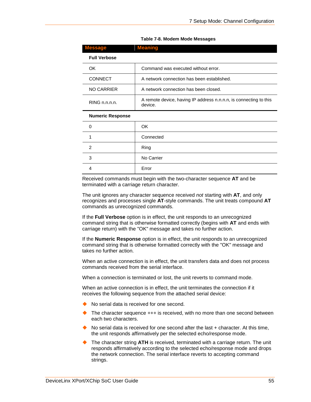| <b>Message</b>          | <b>Meaning</b>                                                               |
|-------------------------|------------------------------------------------------------------------------|
| <b>Full Verbose</b>     |                                                                              |
| OK.                     | Command was executed without error.                                          |
| <b>CONNECT</b>          | A network connection has been established.                                   |
| NO CARRIER              | A network connection has been closed.                                        |
| RING n.n.n.n.           | A remote device, having IP address n.n.n.n, is connecting to this<br>device. |
| <b>Numeric Response</b> |                                                                              |
| <sup>0</sup>            | OK.                                                                          |
|                         | Connected                                                                    |
| $\mathfrak{p}$          | Ring                                                                         |
| 3                       | No Carrier                                                                   |
| 4                       | Error                                                                        |

#### **Table 7-8. Modem Mode Messages**

Received commands must begin with the two-character sequence **AT** and be terminated with a carriage return character.

The unit ignores any character sequence received *not* starting with **AT**, and only recognizes and processes single **AT**-style commands. The unit treats compound **AT** commands as unrecognized commands.

If the **Full Verbose** option is in effect, the unit responds to an unrecognized command string that is otherwise formatted correctly (begins with **AT** and ends with carriage return) with the "OK" message and takes no further action.

If the **Numeric Response** option is in effect, the unit responds to an unrecognized command string that is otherwise formatted correctly with the "OK" message and takes no further action.

When an active connection is in effect, the unit transfers data and does not process commands received from the serial interface.

When a connection is terminated or lost, the unit reverts to command mode.

When an active connection is in effect, the unit terminates the connection if it receives the following sequence from the attached serial device:

- No serial data is received for one second.
- The character sequence +++ is received, with no more than one second between each two characters.
- No serial data is received for one second after the last + character. At this time, the unit responds affirmatively per the selected echo/response mode.
- The character string **ATH** is received, terminated with a carriage return. The unit responds affirmatively according to the selected echo/response mode and drops the network connection. The serial interface reverts to accepting command strings.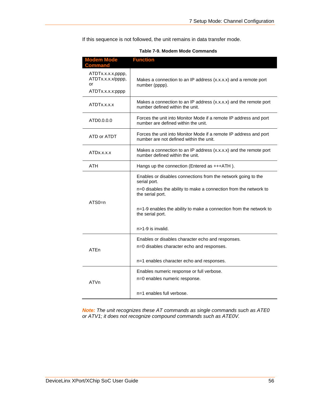If this sequence is not followed, the unit remains in data transfer mode.

| <b>Modem Mode</b><br>Command                                     | <b>Function</b>                                                                                                                                                                                                                                                                           |
|------------------------------------------------------------------|-------------------------------------------------------------------------------------------------------------------------------------------------------------------------------------------------------------------------------------------------------------------------------------------|
| ATDTx.x.x.x,pppp,<br>ATDTx.x.x.x/pppp,<br>or<br>ATDTx.x.x.x:pppp | Makes a connection to an IP address (x.x.x.x) and a remote port<br>number (pppp).                                                                                                                                                                                                         |
| ATDTx.x.x.x                                                      | Makes a connection to an IP address (x.x.x.x) and the remote port<br>number defined within the unit.                                                                                                                                                                                      |
| ATD0.0.0.0                                                       | Forces the unit into Monitor Mode if a remote IP address and port<br>number are defined within the unit.                                                                                                                                                                                  |
| ATD or ATDT                                                      | Forces the unit into Monitor Mode if a remote IP address and port<br>number are not defined within the unit.                                                                                                                                                                              |
| ATDx.x.x.x                                                       | Makes a connection to an IP address (x.x.x.x) and the remote port<br>number defined within the unit.                                                                                                                                                                                      |
| ATH                                                              | Hangs up the connection (Entered as +++ATH).                                                                                                                                                                                                                                              |
| $ATSO=n$                                                         | Enables or disables connections from the network going to the<br>serial port.<br>n=0 disables the ability to make a connection from the network to<br>the serial port.<br>n=1-9 enables the ability to make a connection from the network to<br>the serial port.<br>$n > 1-9$ is invalid. |
| ATEn                                                             | Enables or disables character echo and responses.<br>n=0 disables character echo and responses.<br>n=1 enables character echo and responses.                                                                                                                                              |
| ATVn                                                             | Enables numeric response or full verbose.<br>n=0 enables numeric response.                                                                                                                                                                                                                |
|                                                                  | n=1 enables full verbose.                                                                                                                                                                                                                                                                 |

**Table 7-9. Modem Mode Commands**

*Note: The unit recognizes these AT commands as single commands such as ATE0 or ATV1; it does not recognize compound commands such as ATE0V.*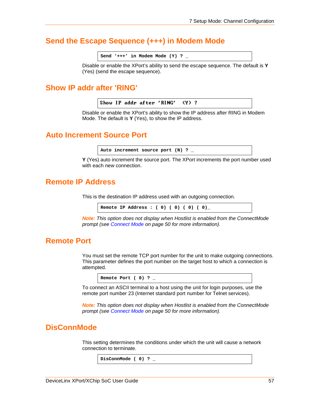# **Send the Escape Sequence (+++) in Modem Mode**

**Send '+++' in Modem Mode (Y) ? \_**

Disable or enable the XPort's ability to send the escape sequence. The default is **Y** (Yes) (send the escape sequence).

## **Show IP addr after 'RING'**

Show IP addr after 'RING' 〈Y〉 ?

Disable or enable the XPort's ability to show the IP address after RING in Modem Mode. The default is **Y** (Yes), to show the IP address.

## **Auto Increment Source Port**

**Auto increment source port (N) ? \_**

**Y** (Yes) auto increment the source port. The XPort increments the port number used with each new connection.

## **Remote IP Address**

This is the destination IP address used with an outgoing connection.

**Remote IP Address : ( 0) ( 0) ( 0) ( 0)\_** 

*Note: This option does not display when Hostlist is enabled from the ConnectMode prompt (see [Connect Mode](#page-49-0) on page [50](#page-49-0) for more information).*

## **Remote Port**

You must set the remote TCP port number for the unit to make outgoing connections. This parameter defines the port number on the target host to which a connection is attempted.

**Remote Port ( 0) ? \_**

To connect an ASCII terminal to a host using the unit for login purposes, use the remote port number 23 (Internet standard port number for Telnet services).

*Note: This option does not display when Hostlist is enabled from the ConnectMode prompt (see [Connect Mode](#page-49-0) on page [50](#page-49-0) for more information).*

## **DisConnMode**

This setting determines the conditions under which the unit will cause a network connection to terminate.

**DisConnMode ( 0) ? \_**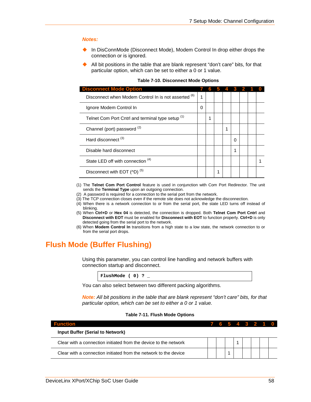#### *Notes:*

- In DisConnMode (Disconnect Mode), Modem Control In drop either drops the connection or is ignored.
- All bit positions in the table that are blank represent "don't care" bits, for that particular option, which can be set to either a 0 or 1 value.

|  | <b>Table 7-10. Disconnect Mode Options</b> |  |  |
|--|--------------------------------------------|--|--|
|--|--------------------------------------------|--|--|

| <b>Disconnect Mode Option</b>                        |   |   |   |  |  |
|------------------------------------------------------|---|---|---|--|--|
| Disconnect when Modem Control In is not asserted (6) | 1 |   |   |  |  |
| Ignore Modem Control In                              | 0 |   |   |  |  |
| Telnet Com Port Cntrl and terminal type setup (1)    |   |   |   |  |  |
| Channel (port) password <sup>(2)</sup>               |   |   |   |  |  |
| Hard disconnect <sup>(3)</sup>                       |   |   | 0 |  |  |
| Disable hard disconnect                              |   |   | 4 |  |  |
| State LED off with connection (4)                    |   |   |   |  |  |
| Disconnect with EOT (^D) <sup>(5)</sup>              |   | 1 |   |  |  |

(1) The **Telnet Com Port Control** feature is used in conjunction with Com Port Redirector. The unit sends the **Terminal Type** upon an outgoing connection.

- (2) A password is required for a connection to the serial port from the network.
- (3) The TCP connection closes even if the remote site does not acknowledge the disconnection.

(4) When there is a network connection to or from the serial port, the state LED turns off instead of blinking.

- (5) When **Ctrl+D** or **Hex 04** is detected, the connection is dropped. Both **Telnet Com Port Cntrl** and **Disconnect with EOT** must be enabled for **Disconnect with EOT** to function properly. **Ctrl+D** is only detected going from the serial port to the network.
- (6) When **Modem Control In** transitions from a high state to a low state, the network connection to or from the serial port drops.

## **Flush Mode (Buffer Flushing)**

Using this parameter, you can control line handling and network buffers with connection startup and disconnect.

**FlushMode ( 0) ? \_**

You can also select between two different packing algorithms.

*Note: All bit positions in the table that are blank represent "don't care" bits, for that particular option, which can be set to either a 0 or 1 value.*

#### **Table 7-11. Flush Mode Options**

| <b>Function</b>                                                  |  |  | 7 6 5 4 3 2 1 0 |  |
|------------------------------------------------------------------|--|--|-----------------|--|
| <b>Input Buffer (Serial to Network)</b>                          |  |  |                 |  |
| Clear with a connection initiated from the device to the network |  |  |                 |  |
| Clear with a connection initiated from the network to the device |  |  |                 |  |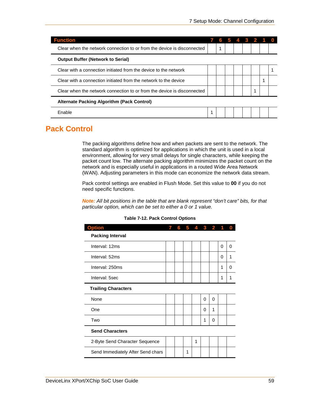| <b>Function</b>                                                         |  |   |  |  |  |  |
|-------------------------------------------------------------------------|--|---|--|--|--|--|
| Clear when the network connection to or from the device is disconnected |  | 1 |  |  |  |  |
| <b>Output Buffer (Network to Serial)</b>                                |  |   |  |  |  |  |
| Clear with a connection initiated from the device to the network        |  |   |  |  |  |  |
| Clear with a connection initiated from the network to the device        |  |   |  |  |  |  |
| Clear when the network connection to or from the device is disconnected |  |   |  |  |  |  |
| <b>Alternate Packing Algorithm (Pack Control)</b>                       |  |   |  |  |  |  |
| Enable                                                                  |  |   |  |  |  |  |

## <span id="page-58-0"></span>**Pack Control**

The packing algorithms define how and when packets are sent to the network. The standard algorithm is optimized for applications in which the unit is used in a local environment, allowing for very small delays for single characters, while keeping the packet count low. The alternate packing algorithm minimizes the packet count on the network and is especially useful in applications in a routed Wide Area Network (WAN). Adjusting parameters in this mode can economize the network data stream.

Pack control settings are enabled in Flush Mode. Set this value to **00** if you do not need specific functions.

*Note: All bit positions in the table that are blank represent "don't care" bits, for that particular option, which can be set to either a 0 or 1 value.*

| <b>Option</b>                     | 6 |   |   | 3        | $\overline{\mathbf{2}}$ |   |   |
|-----------------------------------|---|---|---|----------|-------------------------|---|---|
| <b>Packing Interval</b>           |   |   |   |          |                         |   |   |
| Interval: 12ms                    |   |   |   |          |                         | 0 | 0 |
| Interval: 52ms                    |   |   |   |          |                         | 0 | 1 |
| Interval: 250ms                   |   |   |   |          |                         | 1 | 0 |
| Interval: 5sec                    |   |   |   |          |                         | 1 |   |
| <b>Trailing Characters</b>        |   |   |   |          |                         |   |   |
| None                              |   |   |   | $\Omega$ | 0                       |   |   |
| One                               |   |   |   | $\Omega$ | 1                       |   |   |
| Two                               |   |   |   | 1        | 0                       |   |   |
| <b>Send Characters</b>            |   |   |   |          |                         |   |   |
| 2-Byte Send Character Sequence    |   |   | 1 |          |                         |   |   |
| Send Immediately After Send chars |   | 1 |   |          |                         |   |   |

| <b>Table 7-12. Pack Control Options</b> |  |  |
|-----------------------------------------|--|--|
|                                         |  |  |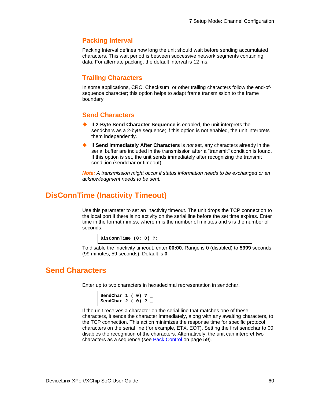### **Packing Interval**

Packing Interval defines how long the unit should wait before sending accumulated characters. This wait period is between successive network segments containing data. For alternate packing, the default interval is 12 ms.

### **Trailing Characters**

In some applications, CRC, Checksum, or other trailing characters follow the end-ofsequence character; this option helps to adapt frame transmission to the frame boundary.

### **Send Characters**

- If **2-Byte Send Character Sequence** is enabled, the unit interprets the sendchars as a 2-byte sequence; if this option is not enabled, the unit interprets them independently.
- If **Send Immediately After Characters** is *not* set, any characters already in the serial buffer are included in the transmission after a "transmit" condition is found. If this option is set, the unit sends immediately after recognizing the transmit condition (sendchar or timeout).

*Note: A transmission might occur if status information needs to be exchanged or an acknowledgment needs to be sent.* 

## **DisConnTime (Inactivity Timeout)**

Use this parameter to set an inactivity timeout. The unit drops the TCP connection to the local port if there is no activity on the serial line before the set time expires. Enter time in the format mm:ss, where m is the number of minutes and s is the number of seconds.

```
DisConnTime (0: 0) ?:
```
To disable the inactivity timeout, enter **00:00**. Range is 0 (disabled) to **5999** seconds (99 minutes, 59 seconds). Default is **0**.

## **Send Characters**

Enter up to two characters in hexadecimal representation in sendchar.

```
SendChar 1 ( 0) ? _
SendChar 2 ( 0) ? _
```
If the unit receives a character on the serial line that matches one of these characters, it sends the character immediately, along with any awaiting characters, to the TCP connection. This action minimizes the response time for specific protocol characters on the serial line (for example, ETX, EOT). Setting the first sendchar to 00 disables the recognition of the characters. Alternatively, the unit can interpret two characters as a sequence (see [Pack Control](#page-58-0) on page [59\)](#page-58-0).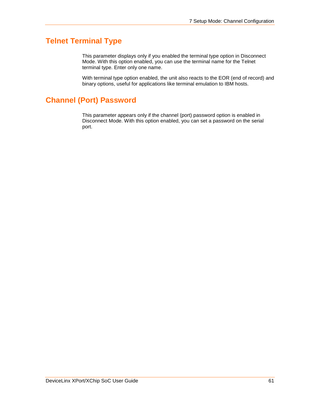# **Telnet Terminal Type**

This parameter displays only if you enabled the terminal type option in Disconnect Mode. With this option enabled, you can use the terminal name for the Telnet terminal type. Enter only one name.

With terminal type option enabled, the unit also reacts to the EOR (end of record) and binary options, useful for applications like terminal emulation to IBM hosts.

# **Channel (Port) Password**

This parameter appears only if the channel (port) password option is enabled in Disconnect Mode. With this option enabled, you can set a password on the serial port.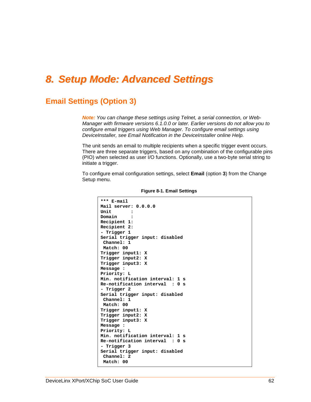# <span id="page-61-0"></span>*8. Setup Mode: Advanced Settings*

## **Email Settings (Option 3)**

*Note: You can change these settings using Telnet, a serial connection, or Web-Manager with firmware versions 6.1.0.0 or later. Earlier versions do not allow you to configure email triggers using Web Manager. To configure email settings using DeviceInstaller, see Email Notification in the DeviceInstaller online Help.*

The unit sends an email to multiple recipients when a specific trigger event occurs. There are three separate triggers, based on any combination of the configurable pins (PIO) when selected as user I/O functions. Optionally, use a two-byte serial string to initiate a trigger.

To configure email configuration settings, select **Email** (option **3**) from the Change Setup menu.

```
*** E-mail
Mail server: 0.0.0.0
Unit :<br>Domain :
Domain : 
Recipient 1: 
Recipient 2:
- Trigger 1
Serial trigger input: disabled
Channel: 1
Match: 00
Trigger input1: X
Trigger input2: X
Trigger input3: X
Message :
Priority: L
Min. notification interval: 1 s
Re-notification interval : 0 s
- Trigger 2
Serial trigger input: disabled
Channel: 1
Match: 00
Trigger input1: X
Trigger input2: X
Trigger input3: X
Message :
Priority: L
Min. notification interval: 1 s
Re-notification interval : 0 s
- Trigger 3
Serial trigger input: disabled
 Channel: 2
 Match: 00
```

```
Figure 8-1. Email Settings
```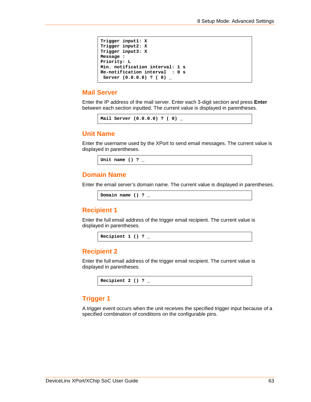```
Trigger input1: X
Trigger input2: X
Trigger input3: X
Message :
Priority: L
Min. notification interval: 1 s
Re-notification interval : 0 s
Server (0.0.0.0) ? ( 0) _
```
### **Mail Server**

Enter the IP address of the mail server. Enter each 3-digit section and press **Enter** between each section inputted. The current value is displayed in parentheses.

```
Mail Server (0.0.0.0) ? ( 0) _
```
### **Unit Name**

Enter the username used by the XPort to send email messages. The current value is displayed in parentheses.

**Unit name () ? \_**

#### **Domain Name**

Enter the email server's domain name. The current value is displayed in parentheses.

**Domain name () ? \_**

#### **Recipient 1**

Enter the full email address of the trigger email recipient. The current value is displayed in parentheses.

```
Recipient 1 () ? _
```
### **Recipient 2**

Enter the full email address of the trigger email recipient. The current value is displayed in parentheses.

**Recipient 2 () ? \_**

### <span id="page-62-0"></span>**Trigger 1**

A trigger event occurs when the unit receives the specified trigger input because of a specified combination of conditions on the configurable pins.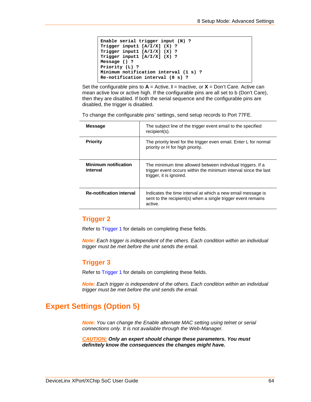```
Enable serial trigger input (N) ?
Trigger input1 [A/I/X] (X) ?
Trigger input1 [A/I/X] (X) ?
Trigger input1 [A/I/X] (X) ?
Message () ?
Priority (L) ?
Minimum notification interval (1 s) ?
Re-notification interval (0 s) ?
```
Set the configurable pins to  $A =$  Active,  $I =$  Inactive, or  $X =$  Don't Care. Active can mean active low or active high. If the configurable pins are all set to b (Don't Care), then they are disabled. If both the serial sequence and the configurable pins are disabled, the trigger is disabled.

To change the configurable pins' settings, send setup records to Port 77FE.

| <b>Message</b>                          | The subject line of the trigger event email to the specified<br>recipient(s).                                                                            |
|-----------------------------------------|----------------------------------------------------------------------------------------------------------------------------------------------------------|
| <b>Priority</b>                         | The priority level for the trigger even email. Enter L for normal<br>priority or H for high priority.                                                    |
| <b>Minimum notification</b><br>interval | The minimum time allowed between individual triggers. If a<br>trigger event occurs within the minimum interval since the last<br>trigger, it is ignored. |
| <b>Re-notification interval</b>         | Indicates the time interval at which a new email message is<br>sent to the recipient(s) when a single trigger event remains<br>active.                   |

## **Trigger 2**

Refer to [Trigger 1](#page-62-0) for details on completing these fields.

*Note: Each trigger is independent of the others. Each condition within an individual trigger must be met before the unit sends the email.*

#### **Trigger 3**

Refer to [Trigger 1](#page-62-0) for details on completing these fields.

*Note: Each trigger is independent of the others. Each condition within an individual trigger must be met before the unit sends the email.*

## **Expert Settings (Option 5)**

*Note: You can change the Enable alternate MAC setting using telnet or serial connections only. It is not available through the Web-Manager.*

*CAUTION: Only an expert should change these parameters. You must definitely know the consequences the changes might have.*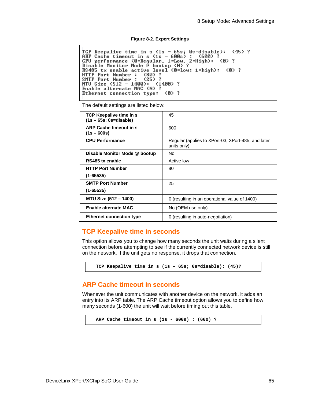**Figure 8-2. Expert Settings**

```
TCP Keepalive time in s (1s - 65s; 0s=disable): (45)<br>ARP Cache timeout in s (1s - 600s) : (600) ?<br>CPU performance (0=Regular, 1=Low, 2=High): (0) ?<br>Disable Monitor Mode @ bootup (N) ?<br>RS485 tx enable active level (0=low; 1
                                                                                                          〈45〉?
MTU Size (512 - 1400): (1400)?
Enable alternate MAC (N) ?
Ethernet connection type: (0) ?
```
The default settings are listed below:

| <b>TCP Keepalive time in s</b><br>$(1s - 65s; 0s = disable)$ | 45                                                                |
|--------------------------------------------------------------|-------------------------------------------------------------------|
| <b>ARP Cache timeout in s</b><br>$(1s - 600s)$               | 600                                                               |
| <b>CPU Performance</b>                                       | Regular (applies to XPort-03, XPort-485, and later<br>units only) |
| Disable Monitor Mode @ bootup                                | No.                                                               |
| RS485 tx enable                                              | Active low                                                        |
| <b>HTTP Port Number</b>                                      | 80                                                                |
| $(1 - 65535)$                                                |                                                                   |
| <b>SMTP Port Number</b>                                      | 25                                                                |
| $(1 - 65535)$                                                |                                                                   |
| MTU Size (512 – 1400)                                        | 0 (resulting in an operational value of 1400)                     |
| Enable alternate MAC                                         | No (OEM use only)                                                 |
| <b>Ethernet connection type</b>                              | 0 (resulting in auto-negotiation)                                 |

### **TCP Keepalive time in seconds**

This option allows you to change how many seconds the unit waits during a silent connection before attempting to see if the currently connected network device is still on the network. If the unit gets no response, it drops that connection.

```
TCP Keepalive time in s (1s – 65s; 0s=disable): (45)? _
```
### **ARP Cache timeout in seconds**

Whenever the unit communicates with another device on the network, it adds an entry into its ARP table. The ARP Cache timeout option allows you to define how many seconds (1-600) the unit will wait before timing out this table.

```
ARP Cache timeout in s (1s - 600s) : (600) ?
```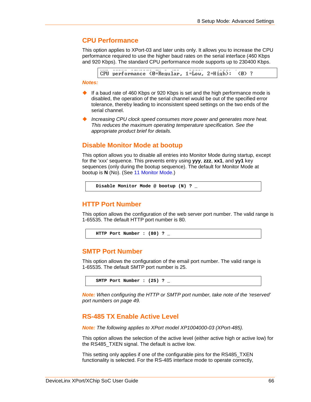## <span id="page-65-0"></span>**CPU Performance**

This option applies to XPort-03 and later units only. It allows you to increase the CPU performance required to use the higher baud rates on the serial interface (460 Kbps and 920 Kbps). The standard CPU performance mode supports up to 230400 Kbps.

```
CPU performance (0=Regular, 1=Low, 2=High):
                                             (0)?
```
*Notes:*

- If a baud rate of 460 Kbps or 920 Kbps is set and the high performance mode is disabled, the operation of the serial channel would be out of the specified error tolerance, thereby leading to inconsistent speed settings on the two ends of the serial channel.
- *Increasing CPU clock speed consumes more power and generates more heat. This reduces the maximum operating temperature specification. See the appropriate product brief for details.*

### **Disable Monitor Mode at bootup**

This option allows you to disable all entries into Monitor Mode during startup, except for the 'xxx' sequence. This prevents entry using **yyy**, **zzz**, **xx1**, and **yy1** key sequences (only during the bootup sequence). The default for Monitor Mode at bootup is **N** (No). (See [11](#page-81-0) [Monitor](#page-81-0) Mode.)

```
Disable Monitor Mode @ bootup (N) ? _
```
#### **HTTP Port Number**

This option allows the configuration of the web server port number. The valid range is 1-65535. The default HTTP port number is 80.

```
HTTP Port Number : (80) ? _
```
### **SMTP Port Number**

This option allows the configuration of the email port number. The valid range is 1-65535. The default SMTP port number is 25.

**SMTP Port Number : (25) ? \_**

*Note: When configuring the HTTP or SMTP port number, take note of the 'reserved' port numbers on page [49.](#page-48-0)*

#### **RS-485 TX Enable Active Level**

*Note: The following applies to XPort model XP1004000-03 (XPort-485).*

This option allows the selection of the active level (either active high or active low) for the RS485 TXEN signal. The default is active low.

This setting only applies if one of the configurable pins for the RS485\_TXEN functionality is selected. For the RS-485 interface mode to operate correctly,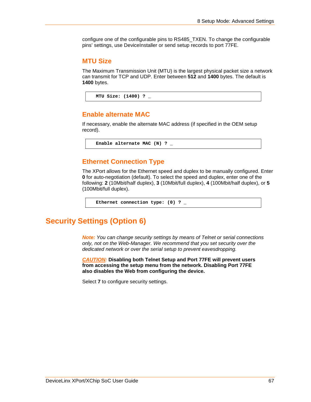configure one of the configurable pins to RS485\_TXEN. To change the configurable pins' settings, use DeviceInstaller or send setup records to port 77FE.

#### **MTU Size**

The Maximum Transmission Unit (MTU) is the largest physical packet size a network can transmit for TCP and UDP. Enter between **512** and **1400** bytes. The default is **1400** bytes.

```
MTU Size: (1400) ? _
```
#### **Enable alternate MAC**

If necessary, enable the alternate MAC address (if specified in the OEM setup record).

**Enable alternate MAC (N) ? \_**

### **Ethernet Connection Type**

The XPort allows for the Ethernet speed and duplex to be manually configured. Enter **0** for auto-negotiation (default). To select the speed and duplex, enter one of the following: **2** (10Mbit/half duplex), **3** (10Mbit/full duplex), **4** (100Mbit/half duplex), or **5** (100Mbit/full duplex).

```
Ethernet connection type: (0) ? _
```
## <span id="page-66-0"></span>**Security Settings (Option 6)**

*Note: You can change security settings by means of Telnet or serial connections only, not on the Web-Manager. We recommend that you set security over the dedicated network or over the serial setup to prevent eavesdropping.*

*CAUTION :* **Disabling both Telnet Setup and Port 77FE will prevent users from accessing the setup menu from the network. Disabling Port 77FE also disables the Web from configuring the device.**

Select **7** to configure security settings.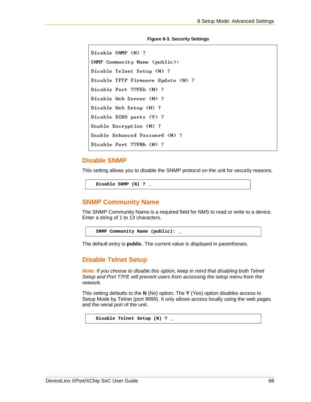#### **Figure 8-3. Security Settings**

```
Disable SNMP (N) ?
SNMP Community Name (public):
Disable Telnet Setup (N) ?
Disable TFTP Firmware Update (N) ?
Disable Port 77FEh (N) ?
Disable Web Server (N) ?
Disable Web Setup (N) ?
Disable ECHO ports (Y) ?
Enable Encryption (N) ?
Enable Enhanced Password (N) ?
Disable Port 77F0h (N) ?
```
### **Disable SNMP**

This setting allows you to disable the SNMP protocol on the unit for security reasons.

```
Disable SNMP (N) ? _
```
#### **SNMP Community Name**

The SNMP Community Name is a required field for NMS to read or write to a device. Enter a string of 1 to 13 characters.

**SNMP Community Name (public): \_**

The default entry is **public**. The current value is displayed in parentheses.

#### **Disable Telnet Setup**

*Note: If you choose to disable this option, keep in mind that disabling both Telnet Setup and Port 77FE will prevent users from accessing the setup menu from the network.*

This setting defaults to the **N** (No) option. The **Y** (Yes) option disables access to Setup Mode by Telnet (port 9999). It only allows access locally using the web pages and the serial port of the unit.

**Disable Telnet Setup (N) ? \_**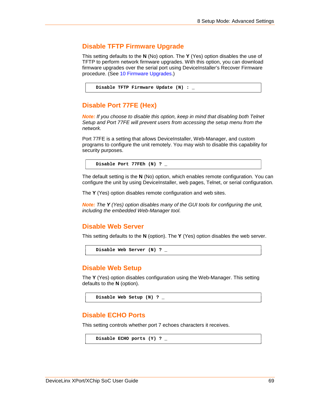#### **Disable TFTP Firmware Upgrade**

This setting defaults to the **N** (No) option. The **Y** (Yes) option disables the use of TFTP to perform network firmware upgrades. With this option, you can download firmware upgrades over the serial port using DeviceInstaller's Recover Firmware procedure. (See [10](#page-78-0) Firmware [Upgrades.](#page-78-0))

```
Disable TFTP Firmware Update (N) : _
```
### **Disable Port 77FE (Hex)**

*Note: If you choose to disable this option, keep in mind that disabling both Telnet Setup and Port 77FE will prevent users from accessing the setup menu from the network.*

Port 77FE is a setting that allows DeviceInstaller, Web-Manager, and custom programs to configure the unit remotely. You may wish to disable this capability for security purposes.

**Disable Port 77FEh (N) ? \_**

The default setting is the **N** (No) option, which enables remote configuration. You can configure the unit by using DeviceInstaller, web pages, Telnet, or serial configuration.

The **Y** (Yes) option disables remote configuration and web sites.

*Note: The Y (Yes) option disables many of the GUI tools for configuring the unit, including the embedded Web-Manager tool.* 

#### **Disable Web Server**

This setting defaults to the **N** (option). The **Y** (Yes) option disables the web server.

```
Disable Web Server (N) ? _
```
#### **Disable Web Setup**

The **Y** (Yes) option disables configuration using the Web-Manager. This setting defaults to the **N** (option).

**Disable Web Setup (N) ? \_**

#### **Disable ECHO Ports**

This setting controls whether port 7 echoes characters it receives.

```
Disable ECHO ports (Y) ? _
```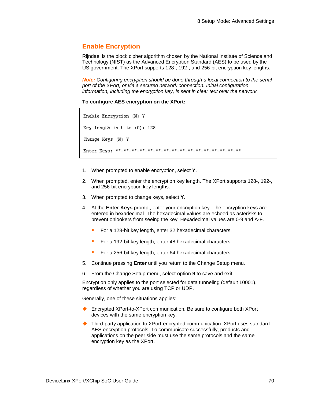### **Enable Encryption**

Rijndael is the block cipher algorithm chosen by the National Institute of Science and Technology (NIST) as the Advanced Encryption Standard (AES) to be used by the US government. The XPort supports 128-, 192-, and 256-bit encryption key lengths.

*Note: Configuring encryption should be done through a local connection to the serial port of the XPort, or via a secured network connection. Initial configuration information, including the encryption key, is sent in clear text over the network.*

#### **To configure AES encryption on the XPort:**

```
Enable Encryption (N) Y
Key length in bits (0): 128
Change Keys (N) Y
```
- 1. When prompted to enable encryption, select **Y**.
- 2. When prompted, enter the encryption key length. The XPort supports 128-, 192-, and 256-bit encryption key lengths.
- 3. When prompted to change keys, select **Y**.
- 4. At the **Enter Keys** prompt, enter your encryption key. The encryption keys are entered in hexadecimal. The hexadecimal values are echoed as asterisks to prevent onlookers from seeing the key. Hexadecimal values are 0-9 and A-F.
	- For a 128-bit key length, enter 32 hexadecimal characters.
	- For a 192-bit key length, enter 48 hexadecimal characters.
	- For a 256-bit key length, enter 64 hexadecimal characters
- 5. Continue pressing **Enter** until you return to the Change Setup menu.
- 6. From the Change Setup menu, select option **9** to save and exit.

Encryption only applies to the port selected for data tunneling (default 10001), regardless of whether you are using TCP or UDP.

Generally, one of these situations applies:

- ◆ Encrypted XPort-to-XPort communication. Be sure to configure both XPort devices with the same encryption key.
- Third-party application to XPort-encrypted communication: XPort uses standard AES encryption protocols. To communicate successfully, products and applications on the peer side must use the same protocols and the same encryption key as the XPort.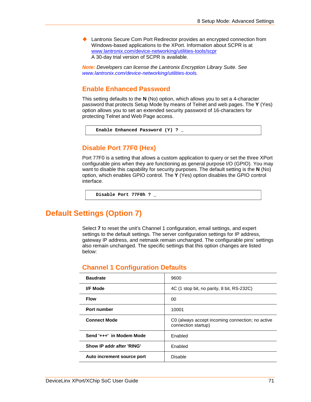◆ Lantronix Secure Com Port Redirector provides an encrypted connection from Windows-based applications to the XPort. Information about SCPR is at [www.lantronix.com/device-networking/utilities-tools/scpr](http://www.lantronix.com/device-networking/utilities-tools/scpr.html) A 30-day trial version of SCPR is available.

*Note: Developers can license the Lantronix Encryption Library Suite. See [www.lantronix.com/device-networking/utilities-tools.](http://www.lantronix.com/device-networking/utilities-tools/)*

## **Enable Enhanced Password**

This setting defaults to the **N** (No) option, which allows you to set a 4-character password that protects Setup Mode by means of Telnet and web pages. The **Y** (Yes) option allows you to set an extended security password of 16-characters for protecting Telnet and Web Page access.

```
Enable Enhanced Password (Y) ? _
```
## **Disable Port 77F0 (Hex)**

Port 77F0 is a setting that allows a custom application to query or set the three XPort configurable pins when they are functioning as general purpose I/O (GPIO). You may want to disable this capability for security purposes. The default setting is the **N** (No) option, which enables GPIO control. The **Y** (Yes) option disables the GPIO control interface.

**Disable Port 77F0h ? \_**

## <span id="page-70-0"></span>**Default Settings (Option 7)**

Select **7** to reset the unit's Channel 1 configuration, email settings, and expert settings to the default settings. The server configuration settings for IP address, gateway IP address, and netmask remain unchanged. The configurable pins' settings also remain unchanged. The specific settings that this option changes are listed below:

| <b>Baudrate</b>            | 9600                                                                    |
|----------------------------|-------------------------------------------------------------------------|
| I/F Mode                   | 4C (1 stop bit, no parity, 8 bit, RS-232C)                              |
| <b>Flow</b>                | 00                                                                      |
| Port number                | 10001                                                                   |
| <b>Connect Mode</b>        | C0 (always accept incoming connection; no active<br>connection startup) |
| Send '+++' in Modem Mode   | Enabled                                                                 |
| Show IP addr after 'RING'  | Enabled                                                                 |
| Auto increment source port | <b>Disable</b>                                                          |

#### **Channel 1 Configuration Defaults**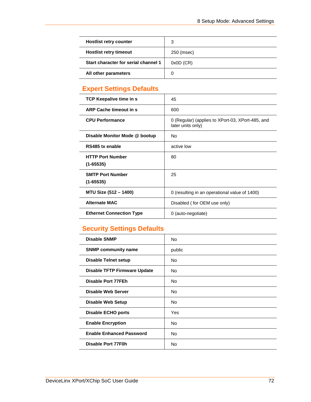| <b>Hostlist retry counter</b>        | 3           |
|--------------------------------------|-------------|
| <b>Hostlist retry timeout</b>        | 250 (msec)  |
| Start character for serial channel 1 | $0x0D$ (CR) |
| All other parameters                 | 0           |

# **Expert Settings Defaults**

| <b>TCP Keepalive time in s</b>  | 45                                                                    |
|---------------------------------|-----------------------------------------------------------------------|
| <b>ARP Cache timeout in s</b>   | 600                                                                   |
| <b>CPU Performance</b>          | 0 (Regular) (applies to XPort-03, XPort-485, and<br>later units only) |
| Disable Monitor Mode @ bootup   | No.                                                                   |
| RS485 tx enable                 | active low                                                            |
| <b>HTTP Port Number</b>         | 80                                                                    |
| $(1 - 65535)$                   |                                                                       |
| <b>SMTP Port Number</b>         | 25                                                                    |
| $(1 - 65535)$                   |                                                                       |
| MTU Size (512 – 1400)           | 0 (resulting in an operational value of 1400)                         |
| <b>Alternate MAC</b>            | Disabled (for OEM use only)                                           |
| <b>Ethernet Connection Type</b> | 0 (auto-negotiate)                                                    |

## **Security Settings Defaults**

| <b>Disable SNMP</b>                 | <b>No</b> |
|-------------------------------------|-----------|
| <b>SNMP community name</b>          | public    |
| <b>Disable Telnet setup</b>         | No        |
| <b>Disable TFTP Firmware Update</b> | No        |
| Disable Port 77FEh                  | No        |
| <b>Disable Web Server</b>           | No        |
| <b>Disable Web Setup</b>            | No.       |
| <b>Disable ECHO ports</b>           | Yes       |
| <b>Enable Encryption</b>            | No        |
| <b>Enable Enhanced Password</b>     | No.       |
| <b>Disable Port 77F0h</b>           | No        |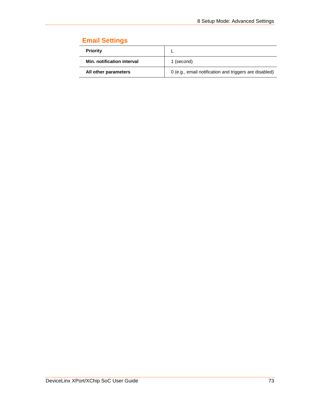# **Email Settings**

| <b>Priority</b>            |                                                        |
|----------------------------|--------------------------------------------------------|
| Min. notification interval | 1 (second)                                             |
| All other parameters       | 0 (e.g., email notification and triggers are disabled) |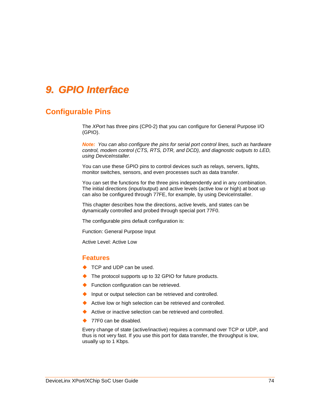# *9. GPIO Interface*

## **Configurable Pins**

The *XPort* has three pins (CP0-2) that you can configure for General Purpose I/O (GPIO).

*Note: You can also configure the pins for serial port control lines, such as hardware control, modem control (CTS, RTS, DTR, and DCD), and diagnostic outputs to LED, using DeviceInstaller.*

You can use these GPIO pins to control devices such as relays, servers, lights, monitor switches, sensors, and even processes such as data transfer.

You can set the functions for the three pins independently and in any combination. The initial directions (input/output) and active levels (active low or high) at boot up can also be configured through 77FE, for example, by using DeviceInstaller.

This chapter describes how the directions, active levels, and states can be dynamically controlled and probed through special port 77F0.

The configurable pins default configuration is:

Function: General Purpose Input

Active Level: Active Low

### **Features**

- ◆ TCP and UDP can be used.
- ◆ The protocol supports up to 32 GPIO for future products.
- ◆ Function configuration can be retrieved.
- Input or output selection can be retrieved and controlled.
- Active low or high selection can be retrieved and controlled.
- ◆ Active or inactive selection can be retrieved and controlled.
- 77F0 can be disabled.

Every change of state (active/inactive) requires a command over TCP or UDP, and thus is not very fast. If you use this port for data transfer, the throughput is low, usually up to 1 Kbps.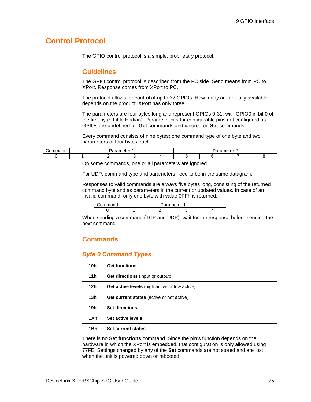# **Control Protocol**

The GPIO control protocol is a simple, proprietary protocol.

## **Guidelines**

The GPIO control protocol is described from the PC side. Send means from PC to XPort. Response comes from XPort to PC.

The protocol allows for control of up to 32 GPIOs. How many are actually available depends on the product. XPort has only three.

The parameters are four bytes long and represent GPIOs 0-31, with GPIO0 in bit 0 of the first byte (Little Endian). Parameter bits for configurable pins not configured as GPIOs are undefined for **Get** commands and ignored on **Set** commands.

Every command consists of nine bytes: one command type of one byte and two parameters of four bytes each.

| -<br>∴ommanc<br>manc | $\sim$ $\sim$ $\sim$ $\sim$ $\sim$<br>neter |   |  | $\cdots$<br>$\sim$ - $\sim$ $\sim$<br>ч. |  |  |  |  |
|----------------------|---------------------------------------------|---|--|------------------------------------------|--|--|--|--|
|                      |                                             | - |  |                                          |  |  |  |  |

On some commands, one or all parameters are ignored.

For UDP, command type and parameters need to be in the same datagram.

Responses to valid commands are always five bytes long, consisting of the returned command byte and as parameters in the current or updated values. In case of an invalid command, only one byte with value 0FFh is returned.

| nmmand | arameter<br>arar |  |  |  |
|--------|------------------|--|--|--|
|        |                  |  |  |  |

When sending a command (TCP and UDP), wait for the response before sending the next command.

## **Commands**

## *Byte 0 Command Types*

| 10h             | <b>Get functions</b>                                 |
|-----------------|------------------------------------------------------|
| 11h             | <b>Get directions</b> (input or output)              |
| 12 <sub>h</sub> | <b>Get active levels</b> (high active or low active) |
| 13h             | <b>Get current states</b> (active or not active)     |
| 19 <sub>h</sub> | <b>Set directions</b>                                |
| 1Ah             | Set active levels                                    |
| 1Bh             | <b>Set current states</b>                            |

There is no **Set functions** command. Since the pin's function depends on the hardware in which the XPort is embedded, that configuration is only allowed using 77FE. Settings changed by any of the **Set** commands are not stored and are lost when the unit is powered down or rebooted.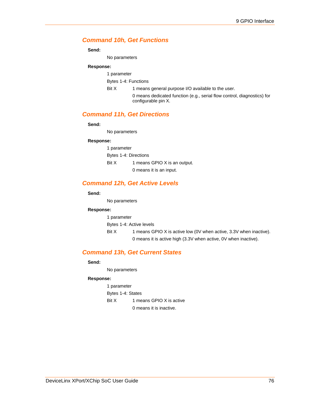## *Command 10h, Get Functions*

#### **Send:**

No parameters

#### **Response:**

1 parameter

Bytes 1-4: Functions

Bit X 1 means general purpose I/O available to the user.

0 means dedicated function (e.g., serial flow control, diagnostics) for configurable pin X.

### *Command 11h, Get Directions*

#### **Send:**

No parameters

#### **Response:**

1 parameter Bytes 1-4: Directions Bit X 1 means GPIO X is an output. 0 means it is an input.

### *Command 12h, Get Active Levels*

#### **Send:**

No parameters

#### **Response:**

1 parameter

Bytes 1-4: Active levels

Bit X 1 means GPIO X is active low (0V when active, 3.3V when inactive). 0 means it is active high (3.3V when active, 0V when inactive).

#### *Command 13h, Get Current States*

#### **Send:**

No parameters

#### **Response:**

1 parameter Bytes 1-4: States Bit X 1 means GPIO X is active 0 means it is inactive.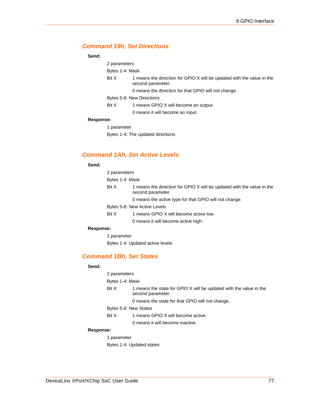## *Command 19h, Set Directions*

#### **Send:**

2 parameters

Bytes 1-4: Mask

Bit X 1 means the direction for GPIO X will be updated with the value in the second parameter.

0 means the direction for that GPIO will not change.

Bytes 5-8: New Directions

Bit X 1 means GPIO X will become an output.

0 means it will become an input.

#### **Response:**

1 parameter

Bytes 1-4: The updated directions

### *Command 1Ah, Set Active Levels*

#### **Send:**

|           | 2 parameters    |                                                                                             |
|-----------|-----------------|---------------------------------------------------------------------------------------------|
|           | Bytes 1-4: Mask |                                                                                             |
|           | Bit X           | 1 means the direction for GPIO X will be updated with the value in the<br>second parameter. |
|           |                 | 0 means the active type for that GPIO will not change.                                      |
|           |                 | Bytes 5-8: New Active Levels                                                                |
|           | Bit X           | 1 means GPIO X will become active low.                                                      |
|           |                 | 0 means it will become active high.                                                         |
| Response: |                 |                                                                                             |

1 parameter

Bytes 1-4: Updated active levels

## *Command 1Bh, Set States*

#### **Send:**

| 2 parameters    |                                                                                         |
|-----------------|-----------------------------------------------------------------------------------------|
| Bytes 1-4: Mask |                                                                                         |
| Bit X           | 1 means the state for GPIO X will be updated with the value in the<br>second parameter. |
|                 | 0 means the state for that GPIO will not change.                                        |
|                 | Bytes 5-8: New States                                                                   |
| Bit X           | 1 means GPIO X will become active.                                                      |
|                 | 0 means it will become inactive.                                                        |
| se:             |                                                                                         |
| 1 narameter     |                                                                                         |

### **Response:**

1 parameter Bytes 1-4: Updated states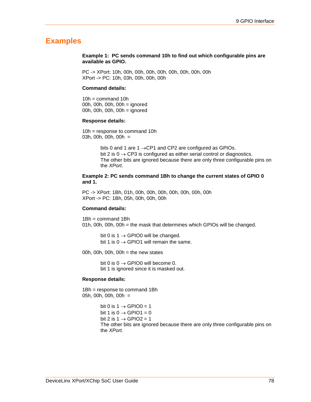# **Examples**

#### **Example 1: PC sends command 10h to find out which configurable pins are available as GPIO.**

PC -> XPort: 10h, 00h, 00h, 00h, 00h, 00h, 00h, 00h, 00h XPort -> PC: 10h, 03h, 00h, 00h, 00h

#### **Command details:**

 $10h =$ command  $10h$ 00h, 00h, 00h, 00h = ignored 00h, 00h, 00h, 00h = ignored

#### **Response details:**

10h = response to command 10h 03h, 00h, 00h, 00h =

> bits 0 and 1 are 1 →CP1 and CP2 are configured as GPIOs. bit 2 is  $0 \rightarrow CP3$  is configured as either serial control or diagnostics. The other bits are ignored because there are only three configurable pins on the *XPort.*

#### **Example 2: PC sends command 1Bh to change the current states of GPIO 0 and 1.**

PC -> XPort: 1Bh, 01h, 00h, 00h, 00h, 00h, 00h, 00h, 00h XPort -> PC: 1Bh, 05h, 00h, 00h, 00h

#### **Command details:**

 $1Bh =$  command  $1Bh$ 01h, 00h, 00h, 00h = the mask that determines which GPIOs will be changed.

> bit 0 is 1  $\rightarrow$  GPIO0 will be changed. bit 1 is  $0 \rightarrow$  GPIO1 will remain the same.

00h, 00h, 00h, 00h = the new states

bit 0 is  $0 \rightarrow$  GPIO0 will become 0. bit 1 is ignored since it is masked out.

#### **Response details:**

1Bh = response to command 1Bh 05h, 00h, 00h, 00h =

> bit 0 is  $1 \rightarrow$  GPIO0 = 1 bit 1 is  $0 \rightarrow$  GPIO1 = 0 bit 2 is  $1 \rightarrow$  GPIO2 = 1 The other bits are ignored because there are only three configurable pins on the *XPort.*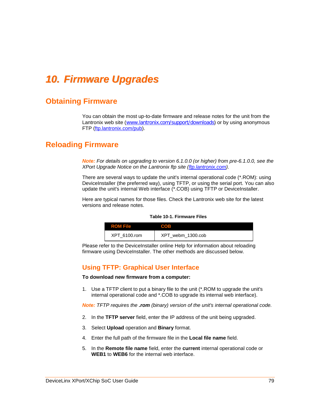# *10. Firmware Upgrades*

# **Obtaining Firmware**

You can obtain the most up-to-date firmware and release notes for the unit from the Lantronix web site ([www.lantronix.com/support/downloads](http://www.lantronix.com/support/downloads)) or by using anonymous FTP [\(ftp.lantronix.com/pub\)](ftp://ftp.lantronix.com/pub).

# **Reloading Firmware**

*Note: For details on upgrading to version 6.1.0.0 (or higher) from pre-6.1.0.0, see the XPort Upgrade Notice on the Lantronix ftp site [\(ftp.lantronix.com\)](ftp://ftp.lantronix.com/).*

There are several ways to update the unit's internal operational code (\*.ROM): using DeviceInstaller (the preferred way), using TFTP, or using the serial port. You can also update the unit's internal Web interface (\*.COB) using TFTP or DeviceInstaller.

Here are typical names for those files. Check the Lantronix web site for the latest versions and release notes.

| <b>ROM File</b> | COB               |
|-----------------|-------------------|
| XPT 6100.rom    | XPT_webm_1300.cob |
|                 |                   |

**Table 10-1. Firmware Files**

Please refer to the DeviceInstaller online Help for information about reloading firmware using DeviceInstaller. The other methods are discussed below.

## **Using TFTP: Graphical User Interface**

#### **To download new firmware from a computer:**

1. Use a TFTP client to put a binary file to the unit (\*.ROM to upgrade the unit's internal operational code and \*.COB to upgrade its internal web interface).

*Note: TFTP requires the .rom (binary) version of the unit's internal operational code.* 

- 2. In the **TFTP server** field, enter the IP address of the unit being upgraded.
- 3. Select **Upload** operation and **Binary** format.
- 4. Enter the full path of the firmware file in the **Local file name** field.
- 5. In the **Remote file name** field, enter the **current** internal operational code or **WEB1** to **WEB6** for the internal web interface.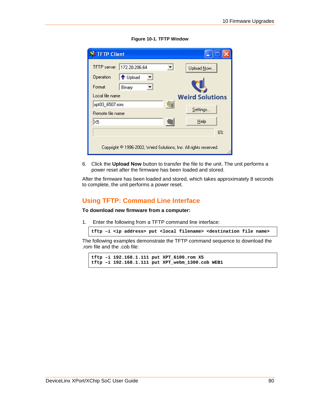

**Figure 10-1. TFTP Window**

6. Click the **Upload Now** button to transfer the file to the unit. The unit performs a power reset after the firmware has been loaded and stored.

After the firmware has been loaded and stored, which takes approximately 8 seconds to complete, the unit performs a power reset.

### **Using TFTP: Command Line Interface**

**To download new firmware from a computer:**

1. Enter the following from a TFTP command line interface:

```
tftp –i <ip address> put <local filename> <destination file name>
```
The following examples demonstrate the TFTP command sequence to download the .rom file and the .cob file:

```
tftp –i 192.168.1.111 put XPT_6100.rom X5
tftp –i 192.168.1.111 put XPT_webm_1300.cob WEB1
```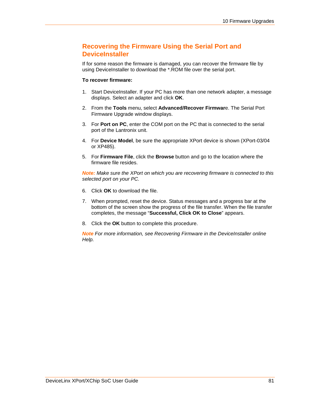## **Recovering the Firmware Using the Serial Port and DeviceInstaller**

If for some reason the firmware is damaged, you can recover the firmware file by using DeviceInstaller to download the \*.ROM file over the serial port.

#### **To recover firmware:**

- 1. Start DeviceInstaller. If your PC has more than one network adapter, a message displays. Select an adapter and click **OK**.
- 2. From the **Tools** menu, select **Advanced/Recover Firmwar**e. The Serial Port Firmware Upgrade window displays.
- 3. For **Port on PC**, enter the COM port on the PC that is connected to the serial port of the Lantronix unit.
- 4. For **Device Model**, be sure the appropriate XPort device is shown (XPort-03/04 or XP485).
- 5. For **Firmware File**, click the **Browse** button and go to the location where the firmware file resides.

*Note: Make sure the XPort on which you are recovering firmware is connected to this selected port on your PC.* 

- 6. Click **OK** to download the file.
- 7. When prompted, reset the device. Status messages and a progress bar at the bottom of the screen show the progress of the file transfer. When the file transfer completes, the message "**Successful, Click OK to Close**" appears.
- 8. Click the **OK** button to complete this procedure.

*Note For more information, see Recovering Firmware in the DeviceInstaller online Help.*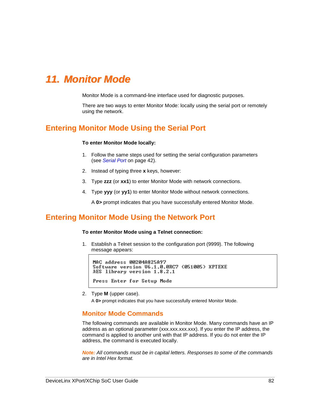# *11. Monitor Mode*

Monitor Mode is a command-line interface used for diagnostic purposes.

There are two ways to enter Monitor Mode: locally using the serial port or remotely using the network.

# **Entering Monitor Mode Using the Serial Port**

#### **To enter Monitor Mode locally:**

- 1. Follow the same steps used for setting the serial configuration parameters (see *[Serial Port](#page-41-0)* on page [42\)](#page-41-0).
- 2. Instead of typing three **x** keys, however:
- 3. Type **zzz** (or **xx1**) to enter Monitor Mode with network connections.
- 4. Type **yyy** (or **yy1**) to enter Monitor Mode without network connections.

A **0>** prompt indicates that you have successfully entered Monitor Mode.

# **Entering Monitor Mode Using the Network Port**

#### **To enter Monitor Mode using a Telnet connection:**

1. Establish a Telnet session to the configuration port (9999). The following message appears:

```
MAC address 00204A825A97
Software version U6.1.0.0RC7 (051005) XPTEXE
AES library version 1.8.2.1
Press Enter for Setup Mode
```
2. Type **M** (upper case).

A **0>** prompt indicates that you have successfully entered Monitor Mode.

## **Monitor Mode Commands**

The following commands are available in Monitor Mode. Many commands have an IP address as an optional parameter (xxx.xxx.xxx.xxx). If you enter the IP address, the command is applied to another unit with that IP address. If you do not enter the IP address, the command is executed locally.

*Note: All commands must be in capital letters. Responses to some of the commands are in Intel Hex format.*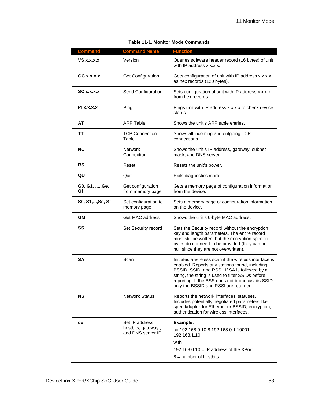| <b>Command</b>      | <b>Command Name</b>                                        | <b>Function</b>                                                                                                                                                                                                                                                                                               |
|---------------------|------------------------------------------------------------|---------------------------------------------------------------------------------------------------------------------------------------------------------------------------------------------------------------------------------------------------------------------------------------------------------------|
| VS x.x.x.x          | Version                                                    | Queries software header record (16 bytes) of unit<br>with IP address x.x.x.x.                                                                                                                                                                                                                                 |
| $GC$ x.x.x.x        | <b>Get Configuration</b>                                   | Gets configuration of unit with IP address x.x.x.x<br>as hex records (120 bytes).                                                                                                                                                                                                                             |
| $SC$ x.x.x.x        | Send Configuration                                         | Sets configuration of unit with IP address x.x.x.x<br>from hex records.                                                                                                                                                                                                                                       |
| $PI$ x.x.x.x        | Ping                                                       | Pings unit with IP address x.x.x.x to check device<br>status.                                                                                                                                                                                                                                                 |
| <b>AT</b>           | <b>ARP Table</b>                                           | Shows the unit's ARP table entries.                                                                                                                                                                                                                                                                           |
| TΤ                  | <b>TCP Connection</b><br>Table                             | Shows all incoming and outgoing TCP<br>connections.                                                                                                                                                                                                                                                           |
| NC                  | <b>Network</b><br>Connection                               | Shows the unit's IP address, gateway, subnet<br>mask, and DNS server.                                                                                                                                                                                                                                         |
| RS                  | Reset                                                      | Resets the unit's power.                                                                                                                                                                                                                                                                                      |
| QU                  | Quit                                                       | Exits diagnostics mode.                                                                                                                                                                                                                                                                                       |
| G0, G1, , Ge,<br>Gf | Get configuration<br>from memory page                      | Gets a memory page of configuration information<br>from the device.                                                                                                                                                                                                                                           |
| S0, S1,,Se, Sf      | Set configuration to<br>memory page                        | Sets a memory page of configuration information<br>on the device.                                                                                                                                                                                                                                             |
| <b>GM</b>           | Get MAC address                                            | Shows the unit's 6-byte MAC address.                                                                                                                                                                                                                                                                          |
| SS                  | Set Security record                                        | Sets the Security record without the encryption<br>key and length parameters. The entire record<br>must still be written, but the encryption-specific<br>bytes do not need to be provided (they can be<br>null since they are not overwritten).                                                               |
| SА                  | Scan                                                       | Initiates a wireless scan if the wireless interface is<br>enabled. Reports any stations found, including<br>BSSID, SSID, and RSSI. If SA is followed by a<br>string, the string is used to filter SSIDs before<br>reporting. If the BSS does not broadcast its SSID,<br>only the BSSID and RSSI are returned. |
| NS                  | <b>Network Status</b>                                      | Reports the network interfaces' statuses.<br>Includes potentially negotiated parameters like<br>speed/duplex for Ethernet or BSSID, encryption,<br>authentication for wireless interfaces.                                                                                                                    |
| CO                  | Set IP address,<br>hostbits, gateway,<br>and DNS server IP | Example:<br>co 192.168.0.10 8 192.168.0.1 10001<br>192.168.1.10<br>with<br>192.168.0.10 = IP address of the XPort<br>$8 =$ number of hostbits                                                                                                                                                                 |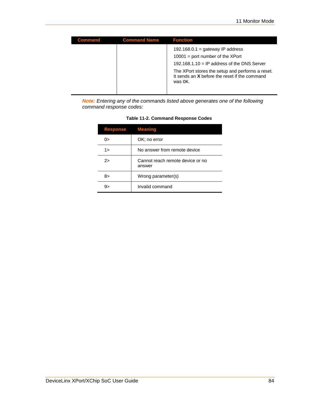| Command | <b>Command Name</b> | <b>Function</b>                                                                                                       |
|---------|---------------------|-----------------------------------------------------------------------------------------------------------------------|
|         |                     | 192.168.0.1 = gateway IP address<br>$10001$ = port number of the XPort<br>192.168.1.10 = IP address of the DNS Server |
|         |                     | The XPort stores the setup and performs a reset.<br>It sends an X before the reset if the command<br>was OK.          |

*Note: Entering any of the commands listed above generates one of the following command response codes:*

| <b>Response Meaning</b> |                                            |
|-------------------------|--------------------------------------------|
| ∩>                      | OK; no error                               |
| 1>                      | No answer from remote device               |
| 2>                      | Cannot reach remote device or no<br>answer |
| 8>                      | Wrong parameter(s)                         |
|                         | Invalid command                            |

#### **Table 11-2. Command Response Codes**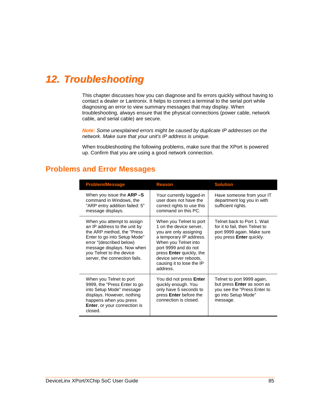# *12. Troubleshooting*

This chapter discusses how you can diagnose and fix errors quickly without having to contact a dealer or Lantronix. It helps to connect a terminal to the serial port while diagnosing an error to view summary messages that may display. When troubleshooting, always ensure that the physical connections (power cable, network cable, and serial cable) are secure.

*Note: Some unexplained errors might be caused by duplicate IP addresses on the network. Make sure that your unit's IP address is unique.* 

When troubleshooting the following problems, make sure that the XPort is powered up. Confirm that you are using a good network connection.

# **Problems and Error Messages**

| <b>Problem/Message</b>                                                                                                                                                                                                                          | <b>Reason</b>                                                                                                                                                                                                                                                 | <b>Solution</b>                                                                                                                |
|-------------------------------------------------------------------------------------------------------------------------------------------------------------------------------------------------------------------------------------------------|---------------------------------------------------------------------------------------------------------------------------------------------------------------------------------------------------------------------------------------------------------------|--------------------------------------------------------------------------------------------------------------------------------|
| When you issue the ARP-S<br>command in Windows, the<br>"ARP entry addition failed: 5"<br>message displays.                                                                                                                                      | Your currently logged-in<br>user does not have the<br>correct rights to use this<br>command on this PC.                                                                                                                                                       | Have someone from your IT<br>department log you in with<br>sufficient rights.                                                  |
| When you attempt to assign<br>an IP address to the unit by<br>the ARP method, the "Press<br>Enter to go into Setup Mode"<br>error "(described below)<br>message displays. Now when<br>you Telnet to the device<br>server, the connection fails. | When you Telnet to port<br>1 on the device server,<br>you are only assigning<br>a temporary IP address.<br>When you Telnet into<br>port 9999 and do not<br>press <b>Enter</b> quickly, the<br>device server reboots.<br>causing it to lose the IP<br>address. | Telnet back to Port 1. Wait<br>for it to fail, then Telnet to<br>port 9999 again. Make sure<br>you press <b>Enter</b> quickly. |
| When you Telnet to port<br>9999, the "Press Enter to go<br>into Setup Mode" message<br>displays. However, nothing<br>happens when you press<br><b>Enter, or your connection is</b><br>closed.                                                   | You did not press <b>Enter</b><br>quickly enough. You<br>only have 5 seconds to<br>press <b>Enter</b> before the<br>connection is closed.                                                                                                                     | Telnet to port 9999 again,<br>but press Enter as soon as<br>you see the "Press Enter to<br>go into Setup Mode"<br>message.     |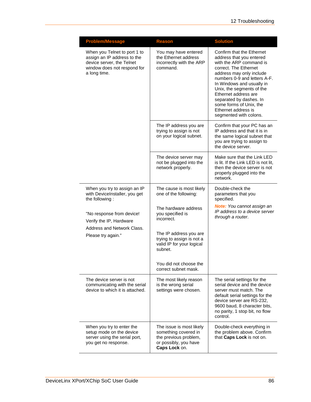| <b>Problem/Message</b>                                                                                                                  | <b>Reason</b>                                                                                                       | <b>Solution</b>                                                                                                                                                                                                                                                                                                                                                |
|-----------------------------------------------------------------------------------------------------------------------------------------|---------------------------------------------------------------------------------------------------------------------|----------------------------------------------------------------------------------------------------------------------------------------------------------------------------------------------------------------------------------------------------------------------------------------------------------------------------------------------------------------|
| When you Telnet to port 1 to<br>assign an IP address to the<br>device server, the Telnet<br>window does not respond for<br>a long time. | You may have entered<br>the Ethernet address<br>incorrectly with the ARP<br>command.                                | Confirm that the Ethernet<br>address that you entered<br>with the ARP command is<br>correct. The Ethernet<br>address may only include<br>numbers 0-9 and letters A-F.<br>In Windows and usually in<br>Unix, the segments of the<br>Ethernet address are<br>separated by dashes. In<br>some forms of Unix, the<br>Ethernet address is<br>segmented with colons. |
|                                                                                                                                         | The IP address you are<br>trying to assign is not<br>on your logical subnet.                                        | Confirm that your PC has an<br>IP address and that it is in<br>the same logical subnet that<br>you are trying to assign to<br>the device server.                                                                                                                                                                                                               |
|                                                                                                                                         | The device server may<br>not be plugged into the<br>network properly.                                               | Make sure that the Link LED<br>is lit. If the Link LED is not lit,<br>then the device server is not<br>properly plugged into the<br>network.                                                                                                                                                                                                                   |
| When you try to assign an IP<br>with DeviceInstaller, you get<br>the following:                                                         | The cause is most likely<br>one of the following:                                                                   | Double-check the<br>parameters that you<br>specified.                                                                                                                                                                                                                                                                                                          |
| "No response from device!<br>Verify the IP, Hardware<br>Address and Network Class.<br>Please try again."                                | The hardware address<br>you specified is<br>incorrect.<br>The IP address you are<br>trying to assign is not a       | <b>Note:</b> You cannot assign an<br>IP address to a device server<br>through a router.                                                                                                                                                                                                                                                                        |
|                                                                                                                                         | valid IP for your logical<br>subnet.<br>You did not choose the                                                      |                                                                                                                                                                                                                                                                                                                                                                |
|                                                                                                                                         | correct subnet mask.                                                                                                |                                                                                                                                                                                                                                                                                                                                                                |
| The device server is not<br>communicating with the serial<br>device to which it is attached.                                            | The most likely reason<br>is the wrong serial<br>settings were chosen.                                              | The serial settings for the<br>serial device and the device<br>server must match. The<br>default serial settings for the<br>device server are RS-232,<br>9600 baud, 8 character bits,<br>no parity, 1 stop bit, no flow<br>control.                                                                                                                            |
| When you try to enter the<br>setup mode on the device<br>server using the serial port,<br>you get no response.                          | The issue is most likely<br>something covered in<br>the previous problem,<br>or possibly, you have<br>Caps Lock on. | Double-check everything in<br>the problem above. Confirm<br>that Caps Lock is not on.                                                                                                                                                                                                                                                                          |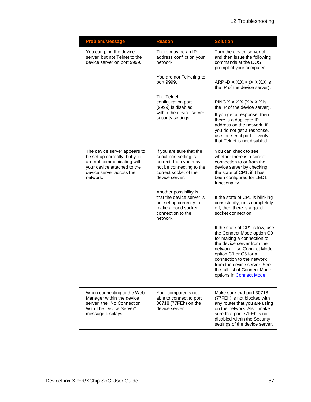| <b>Problem/Message</b>                                                                                                                                            | <b>Reason</b>                                                                                                                                      | <b>Solution</b>                                                                                                                                                                                                                                                                                         |  |  |  |
|-------------------------------------------------------------------------------------------------------------------------------------------------------------------|----------------------------------------------------------------------------------------------------------------------------------------------------|---------------------------------------------------------------------------------------------------------------------------------------------------------------------------------------------------------------------------------------------------------------------------------------------------------|--|--|--|
| You can ping the device<br>server, but not Telnet to the<br>device server on port 9999.                                                                           | There may be an IP<br>address conflict on your<br>network                                                                                          | Turn the device server off<br>and then issue the following<br>commands at the DOS<br>prompt of your computer:                                                                                                                                                                                           |  |  |  |
|                                                                                                                                                                   | You are not Telneting to<br>port 9999.                                                                                                             | ARP -D X.X.X.X (X.X.X.X is<br>the IP of the device server).                                                                                                                                                                                                                                             |  |  |  |
|                                                                                                                                                                   | The Telnet<br>configuration port<br>(9999) is disabled<br>within the device server<br>security settings.                                           | PING X.X.X.X (X.X.X.X is<br>the IP of the device server).<br>If you get a response, then<br>there is a duplicate IP<br>address on the network. If<br>you do not get a response,<br>use the serial port to verify                                                                                        |  |  |  |
|                                                                                                                                                                   |                                                                                                                                                    | that Telnet is not disabled.                                                                                                                                                                                                                                                                            |  |  |  |
| The device server appears to<br>be set up correctly, but you<br>are not communicating with<br>your device attached to the<br>device server across the<br>network. | If you are sure that the<br>serial port setting is<br>correct, then you may<br>not be connecting to the<br>correct socket of the<br>device server. | You can check to see<br>whether there is a socket<br>connection to or from the<br>device server by checking<br>the state of CP1, if it has<br>been configured for LED1<br>functionality.                                                                                                                |  |  |  |
|                                                                                                                                                                   | Another possibility is<br>that the device server is<br>not set up correctly to<br>make a good socket<br>connection to the<br>network.              | If the state of CP1 is blinking<br>consistently, or is completely<br>off, then there is a good<br>socket connection.                                                                                                                                                                                    |  |  |  |
|                                                                                                                                                                   |                                                                                                                                                    | If the state of CP1 is low, use<br>the Connect Mode option C0<br>for making a connection to<br>the device server from the<br>network. Use Connect Mode<br>option C1 or C5 for a<br>connection to the network<br>from the device server. See<br>the full list of Connect Mode<br>options in Connect Mode |  |  |  |
| When connecting to the Web-<br>Manager within the device<br>server, the "No Connection<br>With The Device Server"<br>message displays.                            | Your computer is not<br>able to connect to port<br>30718 (77FEh) on the<br>device server.                                                          | Make sure that port 30718<br>(77FEh) is not blocked with<br>any router that you are using<br>on the network. Also, make<br>sure that port 77FEh is not<br>disabled within the Security<br>settings of the device server.                                                                                |  |  |  |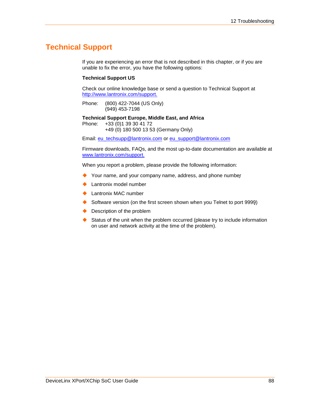# **Technical Support**

If you are experiencing an error that is not described in this chapter, or if you are unable to fix the error, you have the following options:

#### **Technical Support US**

Check our online knowledge base or send a question to Technical Support at [http://www.lantronix.com/support.](http://www.lantronix.com/support)

Phone: (800) 422-7044 (US Only) (949) 453-7198

# **Technical Support Europe, Middle East, and Africa**

+33 (0)1 39 30 41 72

+49 (0) 180 500 13 53 (Germany Only)

Email: [eu\\_techsupp@lantronix.com](mailto:eu_techsupp@lantronix.com) or [eu\\_support@lantronix.com](mailto:eu_support@lantronix.com)

Firmware downloads, FAQs, and the most up-to-date documentation are available at [www.lantronix.com/support.](http://www.lantronix.com/support)

When you report a problem, please provide the following information:

- Your name, and your company name, address, and phone number
- **Lantronix model number**
- ◆ Lantronix MAC number
- Software version (on the first screen shown when you Telnet to port 9999)
- **←** Description of the problem
- Status of the unit when the problem occurred (please try to include information on user and network activity at the time of the problem).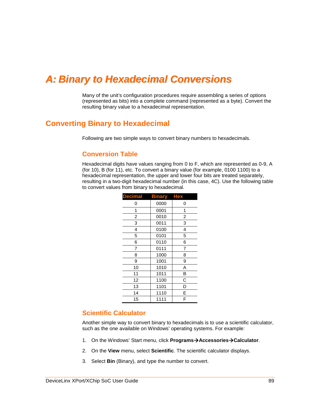# *A: Binary to Hexadecimal Conversions*

Many of the unit's configuration procedures require assembling a series of options (represented as bits) into a complete command (represented as a byte). Convert the resulting binary value to a hexadecimal representation.

# **Converting Binary to Hexadecimal**

Following are two simple ways to convert binary numbers to hexadecimals.

## **Conversion Table**

Hexadecimal digits have values ranging from 0 to F, which are represented as 0-9, A (for 10), B (for 11), etc. To convert a binary value (for example, 0100 1100) to a hexadecimal representation, the upper and lower four bits are treated separately, resulting in a two-digit hexadecimal number (in this case, 4C). Use the following table to convert values from binary to hexadecimal.

| <b>Decimal</b> | <b>Binary Hex</b> |                |  |
|----------------|-------------------|----------------|--|
| 0              | 0000              | 0              |  |
| 1              | 0001              | 1              |  |
| $\overline{c}$ | 0010              | $\overline{c}$ |  |
| 3              | 0011              | 3              |  |
| 4              | 0100              | 4              |  |
| 5              | 0101              | 5              |  |
| 6              | 0110              | 6              |  |
| 7              | 0111              | 7              |  |
| 8              | 1000              | 8              |  |
| 9              | 1001              | 9              |  |
| 10             | 1010              | A              |  |
| 11             | 1011              | B              |  |
| 12             | 1100              | C              |  |
| 13             | 1101              | D              |  |
| 14             | 1110              | E              |  |
| 15             | 1111              | F              |  |

## **Scientific Calculator**

Another simple way to convert binary to hexadecimals is to use a scientific calculator, such as the one available on Windows' operating systems. For example:

- 1. On the Windows' Start menu, click **Programs > Accessories > Calculator**.
- 2. On the **View** menu, select **Scientific**. The scientific calculator displays.
- 3. Select **Bin** (Binary), and type the number to convert.